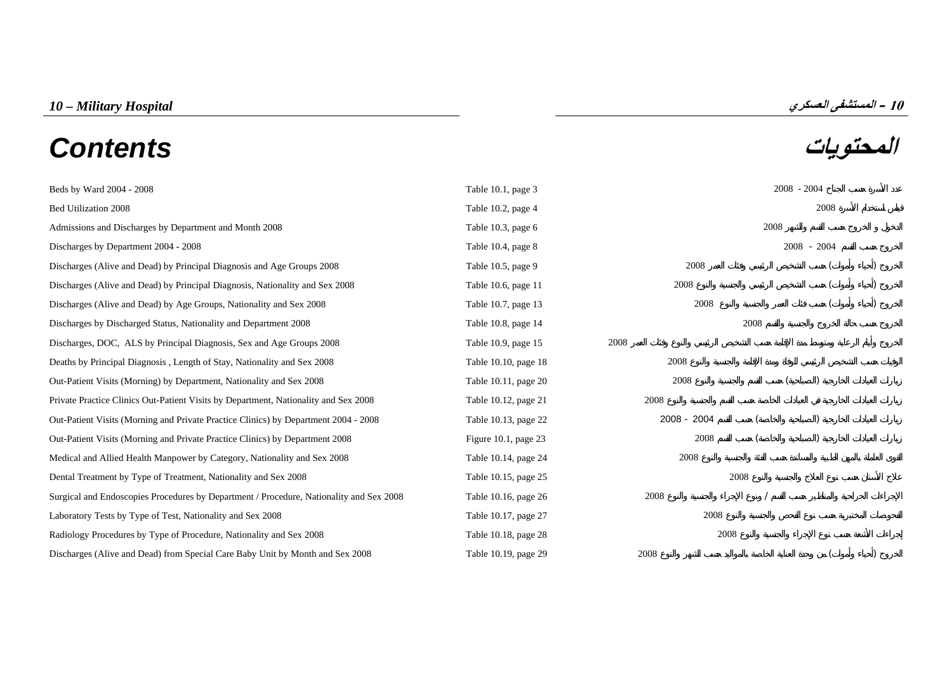# **المحتويات** *Contents*

| Bed Utilization 2008                                                                    | Table 10.2, page 4      |             |      | 2008          |  |
|-----------------------------------------------------------------------------------------|-------------------------|-------------|------|---------------|--|
| Admissions and Discharges by Department and Month 2008                                  | Table $10.3$ , page $6$ |             | 2008 |               |  |
| Discharges by Department 2004 - 2008                                                    | Table 10.4, page 8      |             |      | $2008 - 2004$ |  |
| Discharges (Alive and Dead) by Principal Diagnosis and Age Groups 2008                  | Table 10.5, page 9      | 2008        |      |               |  |
| Discharges (Alive and Dead) by Principal Diagnosis, Nationality and Sex 2008            | Table 10.6, page 11     | 2008        |      |               |  |
| Discharges (Alive and Dead) by Age Groups, Nationality and Sex 2008                     | Table 10.7, page 13     | 2008        |      |               |  |
| Discharges by Discharged Status, Nationality and Department 2008                        | Table 10.8, page 14     |             | 2008 |               |  |
| Discharges, DOC, ALS by Principal Diagnosis, Sex and Age Groups 2008                    | Table 10.9, page 15     | 2008        |      |               |  |
| Deaths by Principal Diagnosis, Length of Stay, Nationality and Sex 2008                 | Table 10.10, page 18    | 2008        |      |               |  |
| Out-Patient Visits (Morning) by Department, Nationality and Sex 2008                    | Table 10.11, page 20    | 2008        |      |               |  |
| Private Practice Clinics Out-Patient Visits by Department, Nationality and Sex 2008     | Table 10.12, page 21    | 2008        |      |               |  |
| Out-Patient Visits (Morning and Private Practice Clinics) by Department 2004 - 2008     | Table 10.13, page 22    | 2008 - 2004 |      |               |  |
| Out-Patient Visits (Morning and Private Practice Clinics) by Department 2008            | Figure 10.1, page $23$  | 2008        |      |               |  |
| Medical and Allied Health Manpower by Category, Nationality and Sex 2008                | Table 10.14, page 24    | 2008        |      |               |  |
| Dental Treatment by Type of Treatment, Nationality and Sex 2008                         | Table 10.15, page 25    |             | 2008 |               |  |
| Surgical and Endoscopies Procedures by Department / Procedure, Nationality and Sex 2008 | Table 10.16, page 26    | 2008        |      |               |  |
| Laboratory Tests by Type of Test, Nationality and Sex 2008                              | Table 10.17, page 27    | 2008        |      |               |  |

[Beds by Ward 2004 - 2008 Table 10.1, page 3 2008](#page-2-0) - 2004

[Radiology Procedures by Type of Procedure, Nationality and Sex 2008 Table 10.18, page 28 2008](#page-27-0) 2008

[Discharges \(Alive and Dead\) from Special Care Baby Unit by Month and Sex 2008 Table 10.19, page 29 2008](#page-28-0) ( )

10 - المستشفى العسكري<br>**المصدر في الت** 

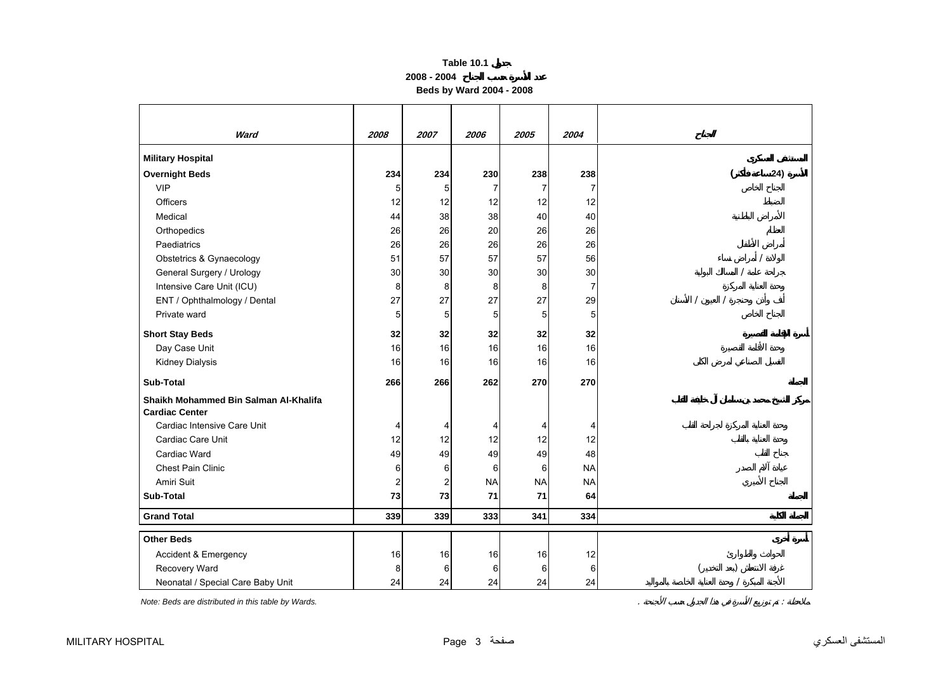**2008 - 2004**

**Beds by Ward 2004 - 2008** 

<span id="page-2-0"></span>

| Ward                                                           | 2008 | 2007 | 2006      | 2005           | 2004           |          |
|----------------------------------------------------------------|------|------|-----------|----------------|----------------|----------|
| <b>Military Hospital</b>                                       |      |      |           |                |                |          |
| <b>Overnight Beds</b>                                          | 234  | 234  | 230       | 238            | 238            | 24)<br>( |
| <b>VIP</b>                                                     | 5    | 5    | 7         | $\overline{7}$ | 7              |          |
| <b>Officers</b>                                                | 12   | 12   | 12        | 12             | 12             |          |
| Medical                                                        | 44   | 38   | 38        | 40             | 40             |          |
| Orthopedics                                                    | 26   | 26   | 20        | 26             | 26             |          |
| Paediatrics                                                    | 26   | 26   | 26        | 26             | 26             |          |
| Obstetrics & Gynaecology                                       | 51   | 57   | 57        | 57             | 56             |          |
| General Surgery / Urology                                      | 30   | 30   | 30        | 30             | 30             |          |
| Intensive Care Unit (ICU)                                      | 8    | 8    | 8         | 8              | $\overline{7}$ |          |
| ENT / Ophthalmology / Dental                                   | 27   | 27   | 27        | 27             | 29             |          |
| Private ward                                                   | 5    | 5    | 5         | 5              | 5              |          |
| <b>Short Stay Beds</b>                                         | 32   | 32   | 32        | 32             | 32             |          |
| Day Case Unit                                                  | 16   | 16   | 16        | 16             | 16             |          |
| <b>Kidney Dialysis</b>                                         | 16   | 16   | 16        | 16             | 16             |          |
| <b>Sub-Total</b>                                               | 266  | 266  | 262       | 270            | 270            |          |
| Shaikh Mohammed Bin Salman Al-Khalifa<br><b>Cardiac Center</b> |      |      |           |                |                |          |
| Cardiac Intensive Care Unit                                    | 4    | 4    | 4         | 4              | 4              |          |
| Cardiac Care Unit                                              | 12   | 12   | 12        | 12             | 12             |          |
| Cardiac Ward                                                   | 49   | 49   | 49        | 49             | 48             |          |
| <b>Chest Pain Clinic</b>                                       | 6    | 6    | 6         | 6              | <b>NA</b>      |          |
| Amiri Suit                                                     | 2    | 2    | <b>NA</b> | <b>NA</b>      | <b>NA</b>      |          |
| <b>Sub-Total</b>                                               | 73   | 73   | 71        | 71             | 64             |          |
| <b>Grand Total</b>                                             | 339  | 339  | 333       | 341            | 334            |          |
| <b>Other Beds</b>                                              |      |      |           |                |                |          |
| Accident & Emergency                                           | 16   | 16   | 16        | 16             | 12             |          |
| Recovery Ward                                                  | 8    | 6    | 6         | 6              | 6              |          |
| Neonatal / Special Care Baby Unit                              | 24   | 24   | 24        | 24             | 24             |          |

*Note: Beds are distributed in this table by Wards.* . :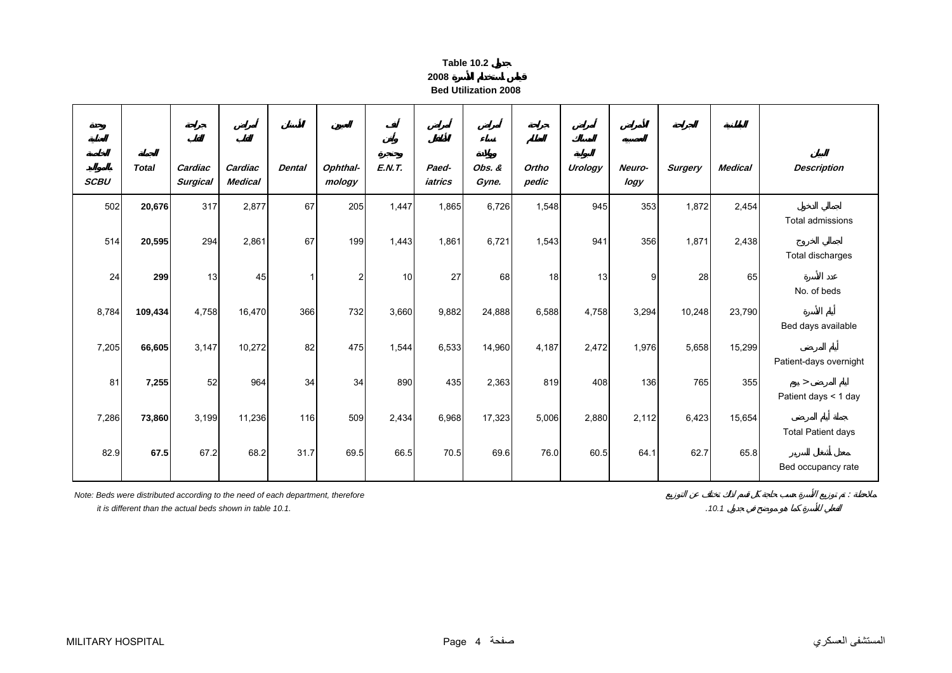| Table 10.2 |  |  |
|------------|--|--|

**2008 Bed Utilization 2008**

<span id="page-3-0"></span>

| <b>SCBU</b> | <b>Total</b> | Cardiac<br><b>Surgical</b> | Cardiac<br><b>Medical</b> | <b>Dental</b> | Ophthal-<br>mology | <b>E.N.T.</b> | Paed-<br>iatrics | Obs. &<br>Gyne. | Ortho<br>pedic | Urology | Neuro-<br>logy | <b>Surgery</b> | <b>Medical</b> | <b>Description</b>             |
|-------------|--------------|----------------------------|---------------------------|---------------|--------------------|---------------|------------------|-----------------|----------------|---------|----------------|----------------|----------------|--------------------------------|
| 502         | 20,676       | 317                        | 2,877                     | 67            | 205                | 1,447         | 1,865            | 6,726           | 1,548          | 945     | 353            | 1,872          | 2,454          | Total admissions               |
| 514         | 20,595       | 294                        | 2,861                     | 67            | 199                | 1,443         | 1,861            | 6,721           | 1,543          | 941     | 356            | 1,871          | 2,438          | Total discharges               |
| 24          | 299          | 13                         | 45                        |               | $\overline{2}$     | 10            | 27               | 68              | 18             | 13      | 9              | 28             | 65             | No. of beds                    |
| 8,784       | 109,434      | 4,758                      | 16,470                    | 366           | 732                | 3,660         | 9,882            | 24,888          | 6,588          | 4,758   | 3,294          | 10,248         | 23,790         | Bed days available             |
| 7,205       | 66,605       | 3,147                      | 10,272                    | 82            | 475                | 1,544         | 6,533            | 14,960          | 4,187          | 2,472   | 1,976          | 5,658          | 15,299         | Patient-days overnight         |
| 81          | 7,255        | 52                         | 964                       | 34            | 34                 | 890           | 435              | 2,363           | 819            | 408     | 136            | 765            | 355            | $\geq$<br>Patient days < 1 day |
| 7,286       | 73,860       | 3,199                      | 11,236                    | 116           | 509                | 2,434         | 6,968            | 17,323          | 5,006          | 2,880   | 2,112          | 6,423          | 15,654         | <b>Total Patient days</b>      |
| 82.9        | 67.5         | 67.2                       | 68.2                      | 31.7          | 69.5               | 66.5          | 70.5             | 69.6            | 76.0           | 60.5    | 64.1           | 62.7           | 65.8           | Bed occupancy rate             |

*Note: Beds were distributed according to the need of each department, therefore* :

 *it is different than the actual beds shown in table 10.1.*

*.10.1*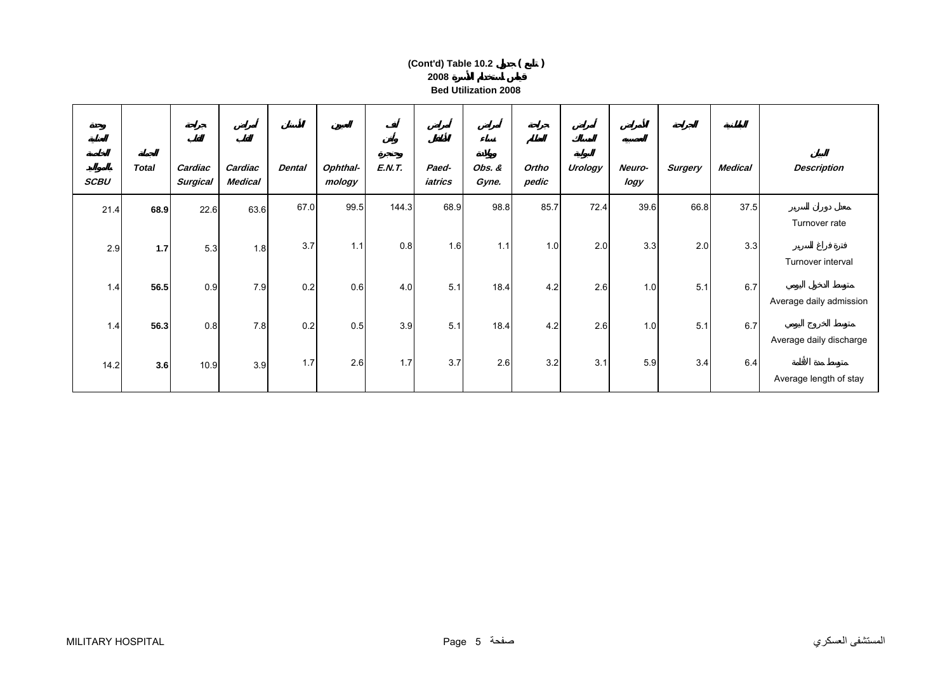# **2008 Bed Utilization 2008(Cont'd) Table 10.2 ( )**

| <b>SCBU</b> | <b>Total</b> | Cardiac<br><b>Surgical</b> | Cardiac<br><b>Medical</b> | <b>Dental</b> | Ophthal-<br>mology | <b>E.N.T.</b> | Paed-<br>iatrics | Obs. &<br>Gyne. | Ortho<br>pedic | Urology | Neuro-<br>logy | <b>Surgery</b> | <b>Medical</b> | <b>Description</b>      |
|-------------|--------------|----------------------------|---------------------------|---------------|--------------------|---------------|------------------|-----------------|----------------|---------|----------------|----------------|----------------|-------------------------|
| 21.4        | 68.9         | 22.6                       | 63.6                      | 67.0          | 99.5               | 144.3         | 68.9             | 98.8            | 85.7           | 72.4    | 39.6           | 66.8           | 37.5           |                         |
|             |              |                            |                           |               |                    |               |                  |                 |                |         |                |                |                | Turnover rate           |
| 2.9         | $1.7$        | 5.3                        | 1.8                       | 3.7           | 1.1                | 0.8           | 1.6              | 1.1             | 1.0            | 2.0     | 3.3            | 2.0            | 3.3            | Turnover interval       |
|             |              |                            |                           |               |                    |               |                  |                 |                |         |                |                |                |                         |
| 1.4         | 56.5         | 0.9                        | 7.9                       | 0.2           | 0.6                | 4.0           | 5.1              | 18.4            | 4.2            | 2.6     | 1.0            | 5.1            | 6.7            | Average daily admission |
|             |              |                            |                           |               |                    |               |                  |                 |                |         |                |                |                |                         |
| 1.4         | 56.3         | 0.8                        | 7.8                       | 0.2           | 0.5                | 3.9           | 5.1              | 18.4            | 4.2            | 2.6     | 1.0            | 5.1            | 6.7            | Average daily discharge |
|             |              |                            | 3.9                       | 1.7           | 2.6                | 1.7           | 3.7              | 2.6             | 3.2            | 3.1     | 5.9            | 3.4            | 6.4            |                         |
| 14.2        | 3.6          | 10.9                       |                           |               |                    |               |                  |                 |                |         |                |                |                | Average length of stay  |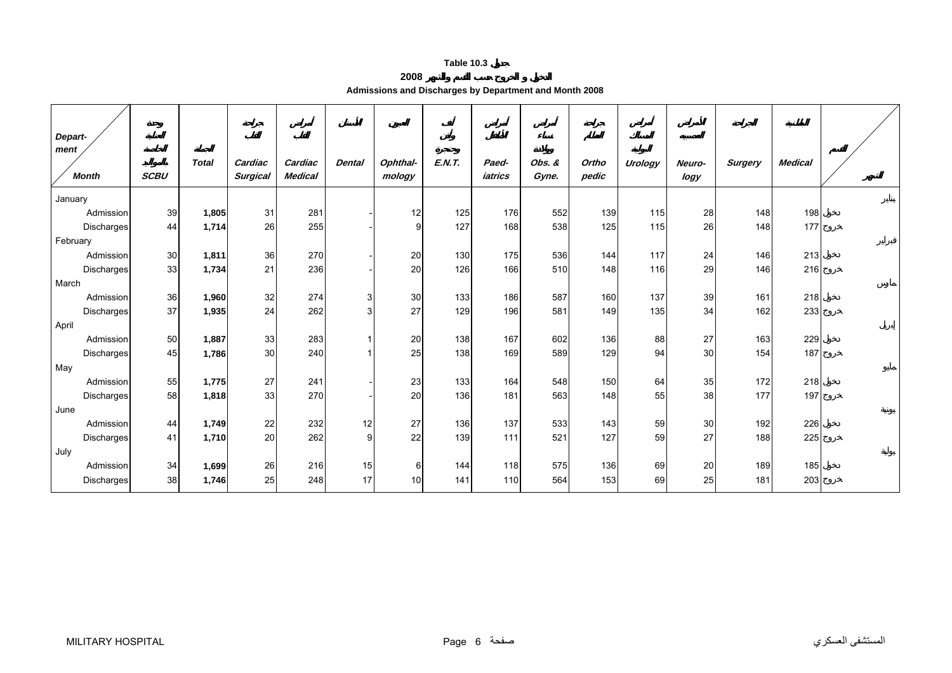**2008**

<span id="page-5-0"></span>

| Depart-<br>ment<br><b>Month</b> | <b>SCBU</b> | <b>Total</b> | Cardiac<br><b>Surgical</b> | Cardiac<br><b>Medical</b> | <b>Dental</b> | Ophthal-<br>mology | E.N.T. | Paed-<br>iatrics | Obs. &<br>Gyne. | Ortho<br>pedic | <b>Urology</b> | Neuro-<br>logy | <b>Surgery</b> | <b>Medical</b> |  |
|---------------------------------|-------------|--------------|----------------------------|---------------------------|---------------|--------------------|--------|------------------|-----------------|----------------|----------------|----------------|----------------|----------------|--|
| January                         |             |              |                            |                           |               |                    |        |                  |                 |                |                |                |                |                |  |
| Admission                       | 39          | 1,805        | 31                         | 281                       |               | 12                 | 125    | 176              | 552             | 139            | 115            | 28             | 148            | 198            |  |
| <b>Discharges</b>               | 44          | 1,714        | 26                         | 255                       |               | 9                  | 127    | 168              | 538             | 125            | 115            | 26             | 148            | 177            |  |
| February                        |             |              |                            |                           |               |                    |        |                  |                 |                |                |                |                |                |  |
| Admission                       | 30          | 1,811        | 36                         | 270                       |               | 20                 | 130    | 175              | 536             | 144            | 117            | 24             | 146            | 213            |  |
| Discharges                      | 33          | 1,734        | 21                         | 236                       |               | 20                 | 126    | 166              | 510             | 148            | 116            | 29             | 146            | 216            |  |
| March                           |             |              |                            |                           |               |                    |        |                  |                 |                |                |                |                |                |  |
| Admission                       | 36          | 1,960        | 32                         | 274                       | 3             | 30                 | 133    | 186              | 587             | 160            | 137            | 39             | 161            | 218            |  |
| Discharges                      | 37          | 1,935        | 24                         | 262                       | 3             | 27                 | 129    | 196              | 581             | 149            | 135            | 34             | 162            | 233            |  |
| April                           |             |              |                            |                           |               |                    |        |                  |                 |                |                |                |                |                |  |
| Admission                       | 50          | 1,887        | 33                         | 283                       |               | 20                 | 138    | 167              | 602             | 136            | 88             | 27             | 163            | 229            |  |
| Discharges                      | 45          | 1,786        | 30                         | 240                       |               | 25                 | 138    | 169              | 589             | 129            | 94             | 30             | 154            | 187            |  |
| May                             |             |              |                            |                           |               |                    |        |                  |                 |                |                |                |                |                |  |
| Admission                       | 55          | 1,775        | 27                         | 241                       |               | 23                 | 133    | 164              | 548             | 150            | 64             | 35             | 172            | 218            |  |
| Discharges                      | 58          | 1,818        | 33                         | 270                       |               | 20                 | 136    | 181              | 563             | 148            | 55             | 38             | 177            | 197            |  |
| June                            |             |              |                            |                           |               |                    |        |                  |                 |                |                |                |                |                |  |
| Admission                       | 44          | 1,749        | 22                         | 232                       | 12            | 27                 | 136    | 137              | 533             | 143            | 59             | 30             | 192            | 226            |  |
| Discharges                      | 41          | 1,710        | 20                         | 262                       | 9             | 22                 | 139    | 111              | 521             | 127            | 59             | 27             | 188            | 225            |  |
| July                            |             |              |                            |                           |               |                    |        |                  |                 |                |                |                |                |                |  |
| Admission                       | 34          | 1,699        | 26                         | 216                       | 15            | $6 \mid$           | 144    | 118              | 575             | 136            | 69             | 20             | 189            | 185            |  |
| Discharges                      | 38          | 1,746        | 25                         | 248                       | 17            | 10                 | 141    | 110              | 564             | 153            | 69             | 25             | 181            | 203            |  |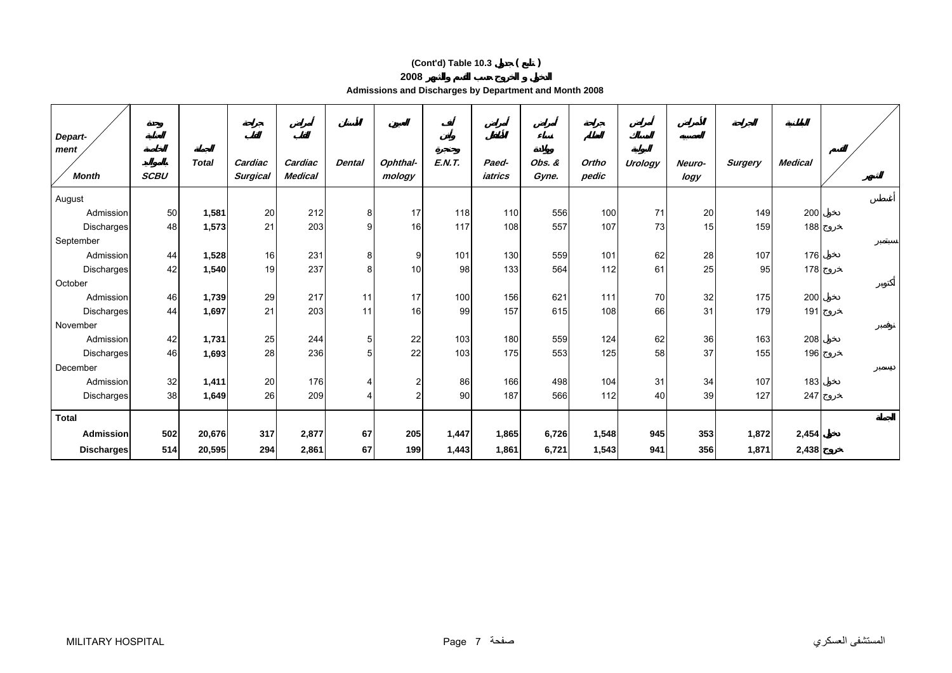# **(Cont'd) Table 10.3 ( )**

**2008**

**Admissions and Discharges by Department and Month 2008** 

| Depart-<br>ment<br><b>Month</b> | <b>SCBU</b> | <b>Total</b> | Cardiac<br><b>Surgical</b> | Cardiac<br><b>Medical</b> | <b>Dental</b> | Ophthal-<br>mology | E.N.T. | Paed-<br>iatrics | Obs. &<br>Gyne. | Ortho<br>pedic | Urology | Neuro-<br>logy | <b>Surgery</b> | <b>Medical</b> |  |
|---------------------------------|-------------|--------------|----------------------------|---------------------------|---------------|--------------------|--------|------------------|-----------------|----------------|---------|----------------|----------------|----------------|--|
| August                          |             |              |                            |                           |               |                    |        |                  |                 |                |         |                |                |                |  |
| Admission                       | 50          | 1,581        | 20                         | 212                       | 8             | 17                 | 118    | 110              | 556             | 100            | 71      | 20             | 149            | 200            |  |
| Discharges                      | 48          | 1,573        | 21                         | 203                       | 9             | 16                 | 117    | 108              | 557             | 107            | 73      | 15             | 159            | 188            |  |
| September                       |             |              |                            |                           |               |                    |        |                  |                 |                |         |                |                |                |  |
| Admission                       | 44          | 1,528        | 16                         | 231                       | 8             | 9                  | 101    | 130              | 559             | 101            | 62      | 28             | 107            | 176            |  |
| <b>Discharges</b>               | 42          | 1,540        | 19                         | 237                       | 8             | 10                 | 98     | 133              | 564             | 112            | 61      | 25             | 95             | 178            |  |
| October                         |             |              |                            |                           |               |                    |        |                  |                 |                |         |                |                |                |  |
| Admission                       | 46          | 1,739        | 29                         | 217                       | 11            | 17                 | 100    | 156              | 621             | 111            | 70      | 32             | 175            | 200            |  |
| Discharges                      | 44          | 1,697        | 21                         | 203                       | 11            | 16                 | 99     | 157              | 615             | 108            | 66      | 31             | 179            | 191            |  |
| November                        |             |              |                            |                           |               |                    |        |                  |                 |                |         |                |                |                |  |
| Admission                       | 42          | 1,731        | 25                         | 244                       | 5             | 22                 | 103    | 180              | 559             | 124            | 62      | 36             | 163            | 208            |  |
| Discharges                      | 46          | 1,693        | 28                         | 236                       | 5             | 22                 | 103    | 175              | 553             | 125            | 58      | 37             | 155            | 196            |  |
| December                        |             |              |                            |                           |               |                    |        |                  |                 |                |         |                |                |                |  |
| Admission                       | 32          | 1,411        | 20                         | 176                       |               | 2                  | 86     | 166              | 498             | 104            | 31      | 34             | 107            | 183            |  |
| Discharges                      | 38          | 1,649        | 26                         | 209                       |               | 2                  | 90     | 187              | 566             | 112            | 40      | 39             | 127            | 247            |  |
| <b>Total</b>                    |             |              |                            |                           |               |                    |        |                  |                 |                |         |                |                |                |  |
| <b>Admission</b>                | 502         | 20,676       | 317                        | 2,877                     | 67            | 205                | 1,447  | 1,865            | 6,726           | 1,548          | 945     | 353            | 1,872          | 2,454          |  |
| <b>Discharges</b>               | 514         | 20,595       | 294                        | 2,861                     | 67            | 199                | 1,443  | 1,861            | 6,721           | 1,543          | 941     | 356            | 1,871          | 2,438          |  |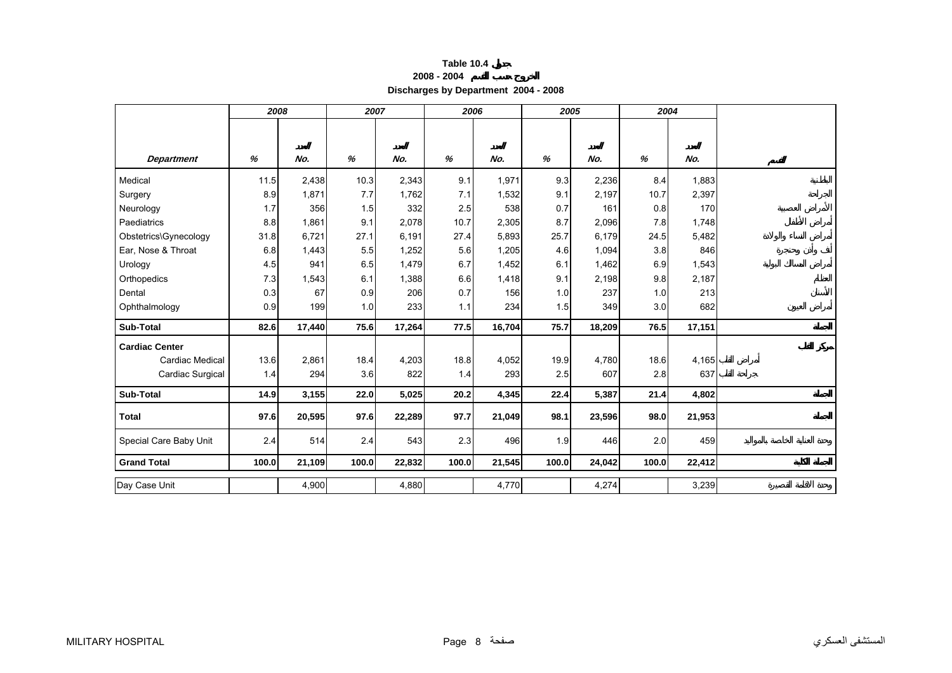<span id="page-7-0"></span>

|                        |       |        |       |        | Discharges by Department 2004 - 2008 |        |       |        |       |        |
|------------------------|-------|--------|-------|--------|--------------------------------------|--------|-------|--------|-------|--------|
|                        | 2008  |        |       | 2007   | 2006                                 |        |       | 2005   | 2004  |        |
| <b>Department</b>      | %     | No.    | %     | No.    | %                                    | No.    | %     | No.    | %     | No.    |
| Medical                | 11.5  | 2,438  | 10.3  | 2,343  | 9.1                                  | 1,971  | 9.3   | 2,236  | 8.4   | 1,883  |
| Surgery                | 8.9   | 1,871  | 7.7   | 1,762  | 7.1                                  | 1,532  | 9.1   | 2,197  | 10.7  | 2,397  |
| Neurology              | 1.7   | 356    | 1.5   | 332    | 2.5                                  | 538    | 0.7   | 161    | 0.8   | 170    |
| Paediatrics            | 8.8   | 1,861  | 9.1   | 2,078  | 10.7                                 | 2,305  | 8.7   | 2,096  | 7.8   | 1,748  |
| Obstetrics\Gynecology  | 31.8  | 6,721  | 27.1  | 6,191  | 27.4                                 | 5,893  | 25.7  | 6,179  | 24.5  | 5,482  |
| Ear, Nose & Throat     | 6.8   | 1,443  | 5.5   | 1,252  | 5.6                                  | 1,205  | 4.6   | 1,094  | 3.8   | 846    |
| Urology                | 4.5   | 941    | 6.5   | 1,479  | 6.7                                  | 1,452  | 6.1   | 1,462  | 6.9   | 1,543  |
| Orthopedics            | 7.3   | 1,543  | 6.1   | 1,388  | 6.6                                  | 1,418  | 9.1   | 2,198  | 9.8   | 2,187  |
| Dental                 | 0.3   | 67     | 0.9   | 206    | 0.7                                  | 156    | 1.0   | 237    | 1.0   | 213    |
| Ophthalmology          | 0.9   | 199    | 1.0   | 233    | 1.1                                  | 234    | 1.5   | 349    | 3.0   | 682    |
| <b>Sub-Total</b>       | 82.6  | 17,440 | 75.6  | 17,264 | 77.5                                 | 16,704 | 75.7  | 18,209 | 76.5  | 17,151 |
| <b>Cardiac Center</b>  |       |        |       |        |                                      |        |       |        |       |        |
| Cardiac Medical        | 13.6  | 2,861  | 18.4  | 4,203  | 18.8                                 | 4,052  | 19.9  | 4,780  | 18.6  | 4,165  |
| Cardiac Surgical       | 1.4   | 294    | 3.6   | 822    | 1.4                                  | 293    | 2.5   | 607    | 2.8   | 637    |
| Sub-Total              | 14.9  | 3,155  | 22.0  | 5,025  | 20.2                                 | 4,345  | 22.4  | 5,387  | 21.4  | 4,802  |
| <b>Total</b>           | 97.6  | 20,595 | 97.6  | 22,289 | 97.7                                 | 21,049 | 98.1  | 23,596 | 98.0  | 21,953 |
| Special Care Baby Unit | 2.4   | 514    | 2.4   | 543    | 2.3                                  | 496    | 1.9   | 446    | 2.0   | 459    |
| <b>Grand Total</b>     | 100.0 | 21,109 | 100.0 | 22,832 | 100.0                                | 21,545 | 100.0 | 24,042 | 100.0 | 22,412 |

#### **Table 10.4 2008 - 2004**

Day Case Unit 1,900 4,900 4,880 4,770 4,770 4,274 3,239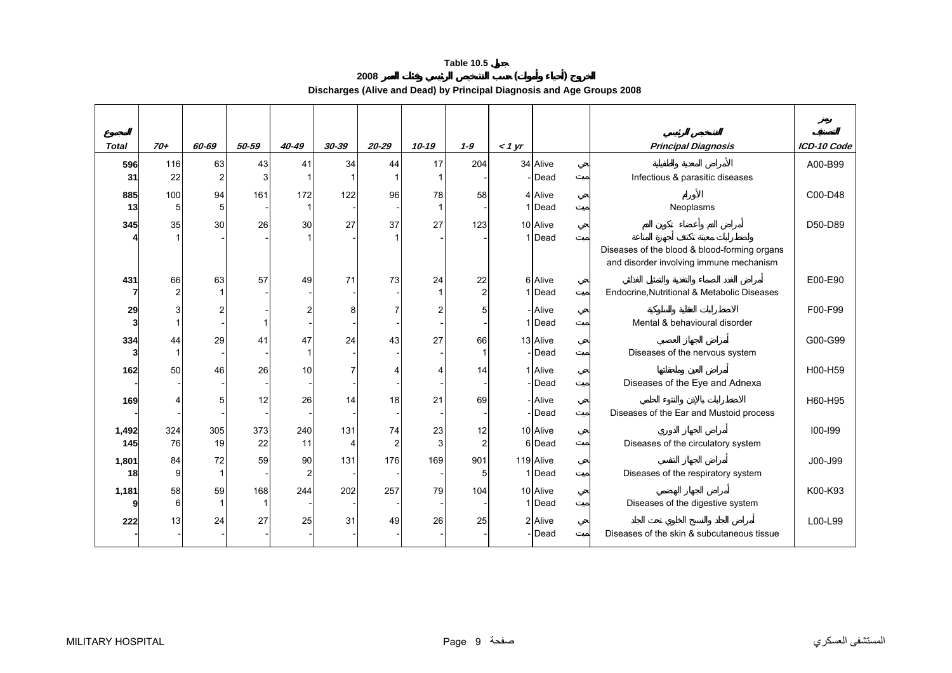**2008 ( ) Discharges (Alive and Dead) by Principal Diagnosis and Age Groups 2008** 

<span id="page-8-0"></span>

| <b>Total</b> | $70+$                | 60-69                | 50-59     | 40-49                | $30 - 39$ | $20 - 29$            | $10 - 19$ | $1 - 9$              | $<$ 1 yr |                             | <b>Principal Diagnosis</b>                                                              | ICD-10 Code |
|--------------|----------------------|----------------------|-----------|----------------------|-----------|----------------------|-----------|----------------------|----------|-----------------------------|-----------------------------------------------------------------------------------------|-------------|
| 596<br>31    | 116<br>22            | 63<br>$\overline{2}$ | 43        | 41                   | 34        | 44                   | 17        | 204                  |          | 34 Alive<br>- <b>I</b> Dead | Infectious & parasitic diseases                                                         | A00-B99     |
| 885<br>13    | 100<br>5             | 94<br>5              | 161       | 172                  | 122       | 96                   | 78        | 58                   |          | 4 Alive<br>1 Dead           | Neoplasms                                                                               | C00-D48     |
| 345          | 35                   | 30                   | 26        | 30                   | 27        | 37                   | 27        | 123                  |          | 10 Alive<br>1 Dead          |                                                                                         | D50-D89     |
|              |                      |                      |           |                      |           |                      |           |                      |          |                             | Diseases of the blood & blood-forming organs<br>and disorder involving immune mechanism |             |
| 431          | 66<br>$\overline{2}$ | 63                   | 57        | 49                   | 71        | 73                   | 24        | 22<br>$\overline{c}$ |          | 6 Alive<br>1 Dead           | Endocrine, Nutritional & Metabolic Diseases                                             | E00-E90     |
| 29<br>3      |                      | $\overline{2}$       |           | 2                    |           |                      |           | 5                    |          | - Alive<br>1 Dead           | Mental & behavioural disorder                                                           | F00-F99     |
| 334          | 44                   | 29                   | 41        | 47                   | 24        | 43                   | 27        | 66<br>-1             |          | 13 Alive<br>- Dead          | Diseases of the nervous system                                                          | G00-G99     |
| 162          | 50                   | 46                   | 26        | 10                   |           |                      |           | 14                   |          | 1 Alive<br>-Dead            | Diseases of the Eye and Adnexa                                                          | H00-H59     |
| 169          |                      | 5                    | 12        | 26                   | 14        | 18                   | 21        | 69                   |          | - Alive<br>- Dead           | Diseases of the Ear and Mustoid process                                                 | H60-H95     |
| 1,492<br>145 | 324<br>76            | 305<br>19            | 373<br>22 | 240<br>11            | 131       | 74<br>$\overline{2}$ | 23<br>3   | 12<br>$\overline{2}$ |          | 10 Alive<br>6 Dead          | Diseases of the circulatory system                                                      | $100 - 199$ |
| 1,801<br>18  | 84<br>9 <sub>l</sub> | 72<br>$\mathbf 1$    | 59        | 90<br>$\overline{2}$ | 131       | 176                  | 169       | 901<br>5             |          | 119 Alive<br>1 Dead         | Diseases of the respiratory system                                                      | J00-J99     |
| 1,181        | 58<br>6              | 59                   | 168       | 244                  | 202       | 257                  | 79        | 104                  |          | 10 Alive<br>1 Dead          | Diseases of the digestive system                                                        | K00-K93     |
| 222          | 13                   | 24                   | 27        | 25                   | 31        | 49                   | 26        | 25                   |          | 2 Alive<br>- <b>I</b> Dead  | Diseases of the skin & subcutaneous tissue                                              | L00-L99     |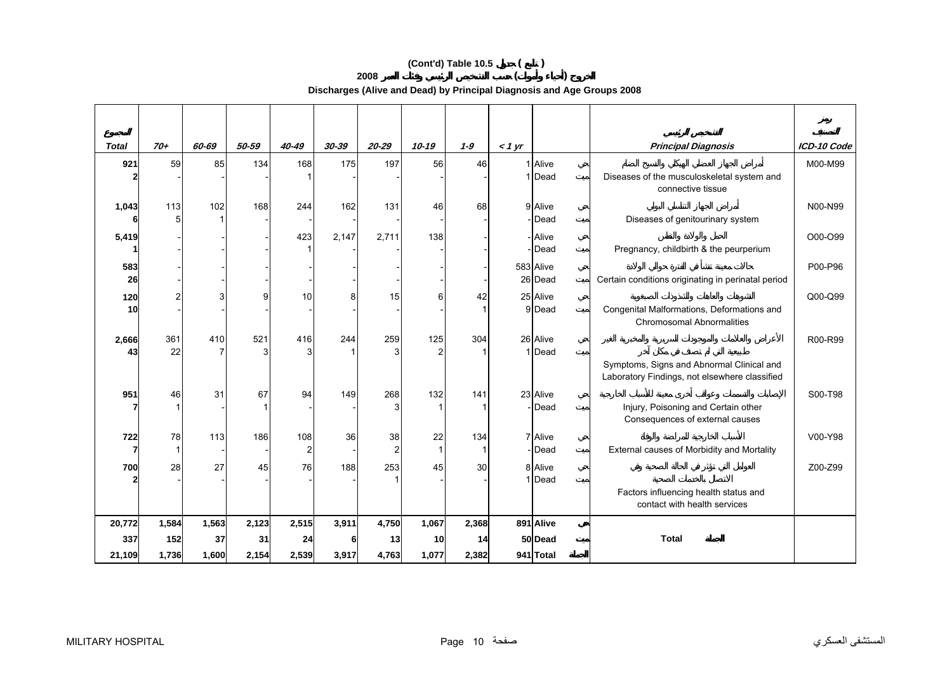# **(Cont'd) Table 10.5 ( )**

**2008 ( )** 

**Discharges (Alive and Dead) by Principal Diagnosis and Age Groups 2008** 

| <b>Total</b>          | $70+$              | 60-69 | 50-59 | 40-49                 | 30-39 | $20 - 29$            | $10 - 19$             | $1 - 9$  | $<$ 1 yr |                          | <b>Principal Diagnosis</b>                                                                 | ICD-10 Code |
|-----------------------|--------------------|-------|-------|-----------------------|-------|----------------------|-----------------------|----------|----------|--------------------------|--------------------------------------------------------------------------------------------|-------------|
| 921                   | 59                 | 85    | 134   | 168                   | 175   | 197                  | 56                    | 46       |          | 1 Alive<br>1 Dead        | Diseases of the musculoskeletal system and<br>connective tissue                            | M00-M99     |
| 1,043                 | 113<br>5           | 102   | 168   | 244                   | 162   | 131                  | 46                    | 68       |          | 9 Alive<br>- <b>Dead</b> | Diseases of genitourinary system                                                           | N00-N99     |
| 5,419                 |                    |       |       | 423                   | 2,147 | 2,711                | 138                   |          |          | - Alive<br>- <b>Dead</b> | Pregnancy, childbirth & the peurperium                                                     | O00-O99     |
| 583<br>26             |                    |       |       |                       |       |                      |                       |          |          | 583 Alive<br>26 Dead     | Certain conditions originating in perinatal period                                         | P00-P96     |
| 120<br>10             | 21                 | 3     | g     | 10                    | 8     | 15                   | 6                     | 42       |          | 25 Alive<br>9 Dead       | Congenital Malformations, Deformations and<br><b>Chromosomal Abnormalities</b>             | Q00-Q99     |
| 2,666<br>43           | 361<br>22          | 410   | 521   | 416<br>3              | 244   | 259                  | 125<br>$\overline{2}$ | 304      |          | 26 Alive<br>1 Dead       | Symptoms, Signs and Abnormal Clinical and<br>Laboratory Findings, not elsewhere classified | R00-R99     |
| 951                   | 46                 | 31    | 67    | 94                    | 149   | 268                  | 132                   | 141      |          | 23 Alive<br>-Dead        | Injury, Poisoning and Certain other<br>Consequences of external causes                     | S00-T98     |
| 722<br>$\overline{7}$ | 78<br>$\mathbf{1}$ | 113   | 186   | 108<br>$\overline{c}$ | 36    | 38<br>$\overline{2}$ | 22                    | 134<br>1 |          | 7 Alive<br>- <b>Dead</b> | External causes of Morbidity and Mortality                                                 | V00-Y98     |
| 700                   | 28                 | 27    | 45    | 76                    | 188   | 253                  | 45                    | 30       |          | 8 Alive<br>1 Dead        |                                                                                            | Z00-Z99     |
|                       |                    |       |       |                       |       |                      |                       |          |          |                          | Factors influencing health status and<br>contact with health services                      |             |
| 20,772                | 1,584              | 1,563 | 2,123 | 2,515                 | 3,911 | 4,750                | 1,067                 | 2,368    |          | 891 Alive                |                                                                                            |             |
| 337                   | 152                | 37    | 31    | 24                    |       | 13                   | 10                    | 14       |          | 50 Dead                  | <b>Total</b>                                                                               |             |
| 21,109                | 1,736              | 1,600 | 2,154 | 2,539                 | 3,917 | 4,763                | 1,077                 | 2,382    |          | 941 Total                |                                                                                            |             |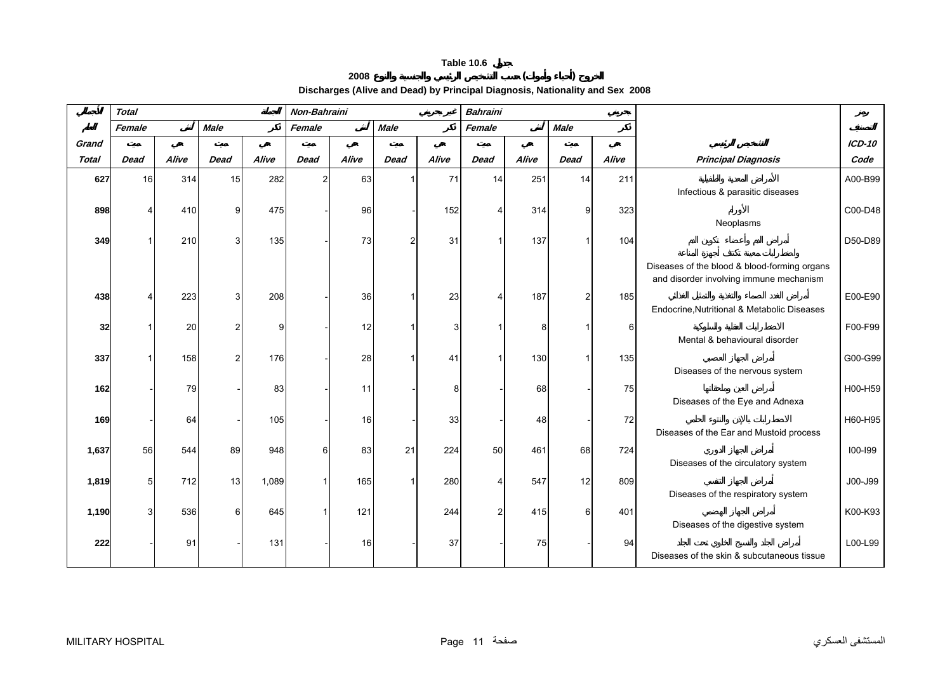# **2008 ( )**

**Discharges (Alive and Dead) by Principal Diagnosis, Nationality and Sex 2008** 

<span id="page-10-0"></span>

|              | <b>Total</b>   |       |             |              | Non-Bahraini   |       |             |       | <b>Bahraini</b>       |       |                |          |                                                                                         |          |
|--------------|----------------|-------|-------------|--------------|----------------|-------|-------------|-------|-----------------------|-------|----------------|----------|-----------------------------------------------------------------------------------------|----------|
|              | Female         |       | <b>Male</b> |              | Female         |       | <b>Male</b> |       | Female                |       | <b>Male</b>    |          |                                                                                         |          |
| Grand        |                |       |             |              |                |       |             |       |                       |       |                |          |                                                                                         | $ICD-10$ |
| <b>Total</b> | <b>Dead</b>    | Alive | <b>Dead</b> | Alive        | <b>Dead</b>    | Alive | <b>Dead</b> | Alive | <b>Dead</b>           | Alive | <b>Dead</b>    | Alive    | <b>Principal Diagnosis</b>                                                              | Code     |
| 627          | 16             | 314   | 15          | 282          | $\overline{2}$ | 63    |             | 71    | 14                    | 251   | 14             | 211      | Infectious & parasitic diseases                                                         | A00-B99  |
| 898          |                | 410   | q           | 475          |                | 96    |             | 152   | $\boldsymbol{\Delta}$ | 314   | 9              | 323      | Neoplasms                                                                               | C00-D48  |
| 349          |                | 210   |             | 135          |                | 73    | 2           | 31    |                       | 137   |                | 104      |                                                                                         | D50-D89  |
|              |                |       |             |              |                |       |             |       |                       |       |                |          | Diseases of the blood & blood-forming organs<br>and disorder involving immune mechanism |          |
| 438          |                | 223   | 3           | 208          |                | 36    | 1           | 23    | Δ                     | 187   | $\overline{2}$ | 185      | Endocrine, Nutritional & Metabolic Diseases                                             | E00-E90  |
| 32           |                | 20    |             | $\mathsf{Q}$ |                | 12    |             | 3     |                       | 8     |                | $6 \mid$ | Mental & behavioural disorder                                                           | F00-F99  |
| 337          |                | 158   |             | 176          |                | 28    |             | 41    |                       | 130   |                | 135      | Diseases of the nervous system                                                          | G00-G99  |
| 162          |                | 79    |             | 83           |                | 11    |             | 8     |                       | 68    |                | 75       |                                                                                         | H00-H59  |
| 169          |                | 64    |             | 105          |                | 16    |             | 33    |                       | 48    |                | 72       | Diseases of the Eye and Adnexa                                                          | H60-H95  |
|              |                |       |             |              |                |       |             |       |                       |       |                |          | Diseases of the Ear and Mustoid process                                                 |          |
| 1,637        | 56             | 544   | 89          | 948          | 61             | 83    | 21          | 224   | 50                    | 461   | 68             | 724      | Diseases of the circulatory system                                                      | 100-199  |
| 1,819        | 5 <sup>1</sup> | 712   | 13          | 1,089        |                | 165   | -1          | 280   | 4                     | 547   | 12             | 809      | Diseases of the respiratory system                                                      | J00-J99  |
| 1,190        | ٩              | 536   | 6           | 645          |                | 121   |             | 244   | 2                     | 415   | 6              | 401      | Diseases of the digestive system                                                        | K00-K93  |
| 222          |                | 91    |             | 131          |                | 16    |             | 37    |                       | 75    |                | 94       | Diseases of the skin & subcutaneous tissue                                              | L00-L99  |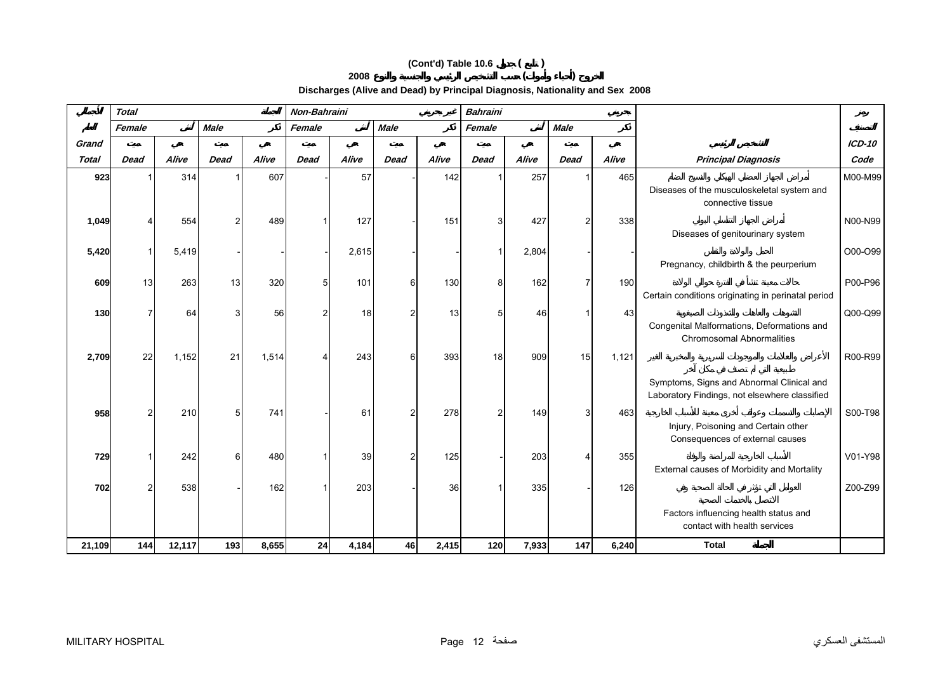# **(Cont'd) Table 10.6 ( ) 2008 ( )**

**Discharges (Alive and Dead) by Principal Diagnosis, Nationality and Sex 2008** 

|              | <b>Total</b> |        |             |       | Non-Bahraini |       |                |       | <b>Bahraini</b> |       |                |       |                                                                                                                         |           |
|--------------|--------------|--------|-------------|-------|--------------|-------|----------------|-------|-----------------|-------|----------------|-------|-------------------------------------------------------------------------------------------------------------------------|-----------|
|              | Female       |        | <b>Male</b> |       | Female       |       | <b>Male</b>    |       | Female          |       | <b>Male</b>    |       |                                                                                                                         |           |
| Grand        |              |        |             |       |              |       |                |       |                 |       |                |       |                                                                                                                         | ICD-10    |
| <b>Total</b> | <b>Dead</b>  | Alive  | <b>Dead</b> | Alive | <b>Dead</b>  | Alive | <b>Dead</b>    | Alive | <b>Dead</b>     | Alive | <b>Dead</b>    | Alive | <b>Principal Diagnosis</b>                                                                                              | Code      |
| 923          |              | 314    |             | 607   |              | 57    |                | 142   |                 | 257   |                | 465   | Diseases of the musculoskeletal system and<br>connective tissue                                                         | M00-M99   |
| 1,049        |              | 554    |             | 489   |              | 127   |                | 151   | 3               | 427   | っ              | 338   | Diseases of genitourinary system                                                                                        | N00-N99   |
| 5,420        |              | 5,419  |             |       |              | 2,615 |                |       |                 | 2,804 |                |       | Pregnancy, childbirth & the peurperium                                                                                  | O00-O99   |
| 609          | 13           | 263    | 13          | 320   | 5            | 101   | 6              | 130   | 8               | 162   | $\overline{7}$ | 190   | Certain conditions originating in perinatal period                                                                      | P00-P96   |
| 130          |              | 64     |             | 56    |              | 18    | $\overline{2}$ | 13    | 5               | 46    |                | 43    | Congenital Malformations, Deformations and<br><b>Chromosomal Abnormalities</b>                                          | $Q00-Q99$ |
| 2,709        | 22           | 1,152  | 21          | 1,514 |              | 243   | 6              | 393   | 18              | 909   | 15             | 1,121 | Symptoms, Signs and Abnormal Clinical and                                                                               | R00-R99   |
| 958          |              | 210    |             | 741   |              | 61    | $\mathcal{P}$  | 278   | 2               | 149   | 3              | 463   | Laboratory Findings, not elsewhere classified<br>Injury, Poisoning and Certain other<br>Consequences of external causes | S00-T98   |
| 729          |              | 242    | 6           | 480   |              | 39    | $\mathcal{P}$  | 125   |                 | 203   |                | 355   | External causes of Morbidity and Mortality                                                                              | V01-Y98   |
| 702          |              | 538    |             | 162   |              | 203   |                | 36    |                 | 335   |                | 126   | Factors influencing health status and                                                                                   | Z00-Z99   |
| 21,109       | 144          | 12,117 | 193         | 8,655 | 24           | 4,184 | 46             | 2,415 | 120             | 7,933 | 147            | 6,240 | contact with health services<br><b>Total</b>                                                                            |           |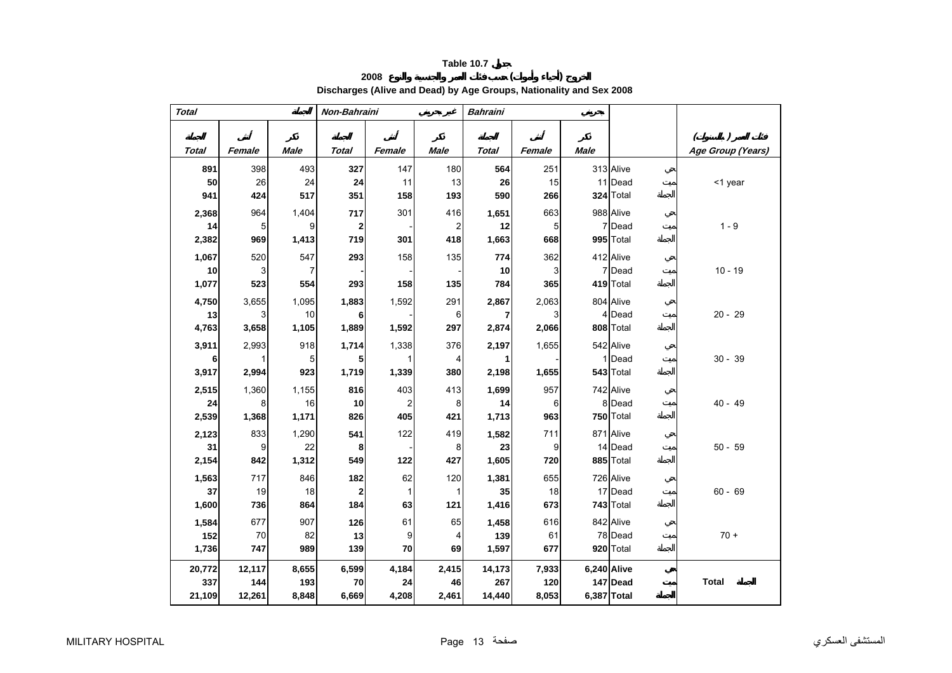# **2008 ( ) Discharges (Alive and Dead) by Age Groups, Nationality and Sex 2008**

<span id="page-12-0"></span>

| <b>Total</b> |                 |                | Non-Bahraini |                |                | <b>Bahraini</b> |        |             |             |                                                 |
|--------------|-----------------|----------------|--------------|----------------|----------------|-----------------|--------|-------------|-------------|-------------------------------------------------|
|              |                 |                |              |                |                |                 |        |             |             |                                                 |
| <b>Total</b> | Female          | <b>Male</b>    | <b>Total</b> | Female         | <b>Male</b>    | <b>Total</b>    | Female | <b>Male</b> |             | $\overline{)}$<br>$\left($<br>Age Group (Years) |
| 891          | 398             | 493            | 327          | 147            | 180            | 564             | 251    |             | 313 Alive   |                                                 |
| 50           | 26              | 24             | 24           | 11             | 13             | 26              | 15     |             | 11 Dead     | <1 year                                         |
| 941          | 424             | 517            | 351          | 158            | 193            | 590             | 266    |             | 324 Total   |                                                 |
| 2,368        | 964             | 1,404          | 717          | 301            | 416            | 1,651           | 663    |             | 988 Alive   |                                                 |
| 14           | $5\overline{)}$ | 9              | $\mathbf{2}$ |                | $\overline{2}$ | 12              | 5      |             | 7 Dead      | $1 - 9$                                         |
| 2,382        | 969             | 1,413          | 719          | 301            | 418            | 1,663           | 668    |             | 995 Total   |                                                 |
| 1,067        | 520             | 547            | 293          | 158            | 135            | 774             | 362    |             | 412 Alive   |                                                 |
| 10           | $\overline{3}$  | $\overline{7}$ |              |                |                | 10              | 3      |             | 7 Dead      | $10 - 19$                                       |
| 1,077        | 523             | 554            | 293          | 158            | 135            | 784             | 365    |             | 419 Total   |                                                 |
| 4,750        | 3,655           | 1,095          | 1,883        | 1,592          | 291            | 2,867           | 2,063  |             | 804 Alive   |                                                 |
| 13           | 3               | 10             | 6            |                | 6              | 7               | 3      |             | 4 Dead      | $20 - 29$                                       |
| 4,763        | 3,658           | 1,105          | 1,889        | 1,592          | 297            | 2,874           | 2,066  |             | 808 Total   |                                                 |
| 3,911        | 2,993           | 918            | 1,714        | 1,338          | 376            | 2,197           | 1,655  |             | 542 Alive   |                                                 |
| 6            | 1               | 5              | 5            | 1              | 4              | 1               |        |             | 1 Dead      | $30 - 39$                                       |
| 3,917        | 2,994           | 923            | 1,719        | 1,339          | 380            | 2,198           | 1,655  |             | 543 Total   |                                                 |
| 2,515        | 1,360           | 1,155          | 816          | 403            | 413            | 1,699           | 957    |             | 742 Alive   |                                                 |
| 24           | 8               | 16             | 10           | $\overline{2}$ | 8              | 14              | 6      |             | 8 Dead      | $40 - 49$                                       |
| 2,539        | 1,368           | 1,171          | 826          | 405            | 421            | 1,713           | 963    |             | 750 Total   |                                                 |
| 2,123        | 833             | 1,290          | 541          | 122            | 419            | 1,582           | 711    |             | 871 Alive   |                                                 |
| 31           | 9               | 22             | 8            |                | 8              | 23              | 9      |             | 14 Dead     | $50 - 59$                                       |
| 2,154        | 842             | 1,312          | 549          | 122            | 427            | 1,605           | 720    |             | 885 Total   |                                                 |
| 1,563        | 717             | 846            | 182          | 62             | 120            | 1,381           | 655    |             | 726 Alive   |                                                 |
| 37           | 19              | 18             | $\mathbf 2$  | $\mathbf{1}$   | 1              | 35              | 18     |             | 17 Dead     | $60 - 69$                                       |
| 1,600        | 736             | 864            | 184          | 63             | 121            | 1,416           | 673    |             | 743 Total   |                                                 |
| 1,584        | 677             | 907            | 126          | 61             | 65             | 1,458           | 616    |             | 842 Alive   |                                                 |
| 152          | 70              | 82             | 13           | 9              | 4              | 139             | 61     |             | 78 Dead     | $70 +$                                          |
| 1,736        | 747             | 989            | 139          | 70             | 69             | 1,597           | 677    |             | 920 Total   |                                                 |
| 20,772       | 12,117          | 8,655          | 6,599        | 4,184          | 2,415          | 14,173          | 7,933  |             | 6,240 Alive |                                                 |
| 337          | 144             | 193            | 70           | 24             | 46             | 267             | 120    |             | 147 Dead    | <b>Total</b>                                    |
| 21,109       | 12,261          | 8,848          | 6,669        | 4,208          | 2,461          | 14,440          | 8,053  |             | 6,387 Total |                                                 |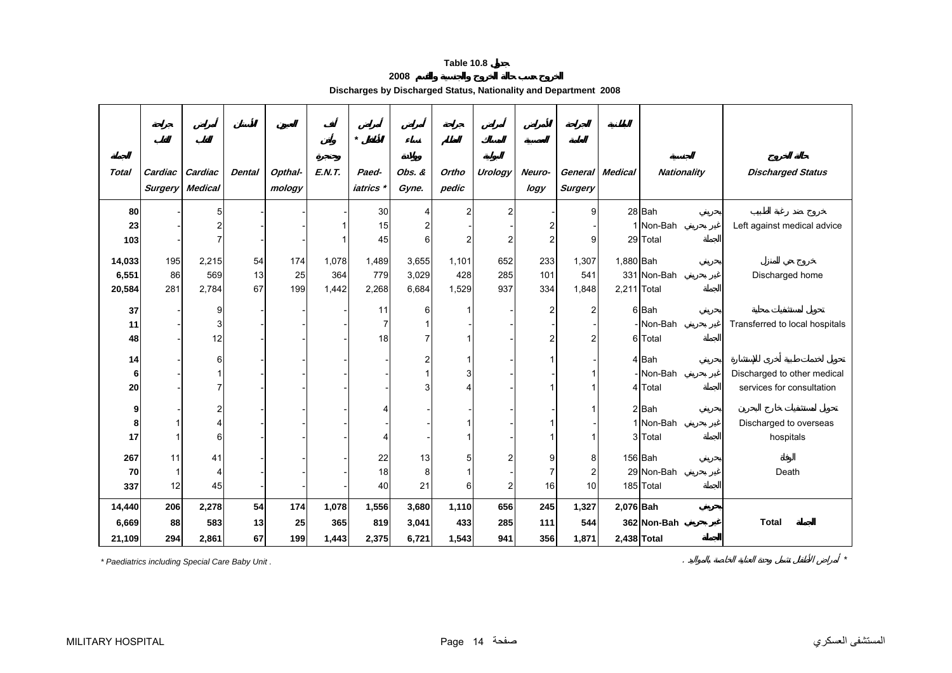# **2008**

| Discharges by Discharged Status, Nationality and Department 2008 |  |
|------------------------------------------------------------------|--|
|------------------------------------------------------------------|--|

<span id="page-13-0"></span>

|                           |                  |                                                              |                |                   |                       | $\star$                    |                         |                       |                     |                                           |                                        |                          |                                    |                                                          |
|---------------------------|------------------|--------------------------------------------------------------|----------------|-------------------|-----------------------|----------------------------|-------------------------|-----------------------|---------------------|-------------------------------------------|----------------------------------------|--------------------------|------------------------------------|----------------------------------------------------------|
| <b>Total</b>              | Cardiac          | Cardiac<br><b>Surgery Medical</b>                            | <b>Dental</b>  | Opthal-<br>mology | <b>E.N.T.</b>         | Paed-<br><i>iatrics</i> *  | Obs. &<br>Gyne.         | Ortho<br>pedic        | <b>Urology</b>      | Neuro-<br>logy                            | <b>Surgery</b>                         | General Medical          | <b>Nationality</b>                 | <b>Discharged Status</b>                                 |
| 80<br>23<br>103           |                  | $5\overline{)}$<br>$\overline{\mathbf{c}}$<br>$\overline{7}$ |                |                   |                       | 30<br>15<br>45             | 6                       | $\overline{2}$<br>2   | $\overline{2}$<br>2 | 2<br>$\overline{c}$                       | $\overline{9}$<br>9                    |                          | 28 Bah<br>1 Non-Bah<br>29 Total    | Left against medical advice                              |
| 14,033<br>6,551<br>20,584 | 195<br>86<br>281 | 2,215<br>569<br>2,784                                        | 54<br>13<br>67 | 174<br>25<br>199  | 1,078<br>364<br>1,442 | 1,489<br>779<br>2,268      | 3,655<br>3,029<br>6,684 | 1,101<br>428<br>1,529 | 652<br>285<br>937   | 233<br>101<br>334                         | 1,307<br>541<br>1,848                  | 1,880 Bah<br>2,211 Total | 331 Non-Bah                        | Discharged home                                          |
| 37<br>11<br>48            |                  | 9<br>$\ensuremath{\mathsf{3}}$<br>12                         |                |                   |                       | 11<br>$\overline{7}$<br>18 | 6                       |                       |                     | $\overline{\mathbf{c}}$<br>$\overline{2}$ | $2^{1}$<br>$\overline{2}$              |                          | 6 Bah<br>- Non-Bah<br>6 Total      | Transferred to local hospitals                           |
| 14<br>6<br>20             |                  | 6<br>1<br>$\overline{7}$                                     |                |                   |                       |                            |                         |                       |                     |                                           |                                        |                          | 4 Bah<br>-Non-Bah<br>4 Total       | Discharged to other medical<br>services for consultation |
| 9<br>8<br>17              |                  | $\boldsymbol{2}$<br>$\overline{\mathbf{4}}$<br>6             |                |                   |                       |                            |                         |                       |                     |                                           |                                        |                          | 2 Bah<br>1 Non-Bah<br>3 Total      | Discharged to overseas<br>hospitals                      |
| 267<br>70<br>337          | 11<br>12         | 41<br>4<br>45                                                |                |                   |                       | 22<br>18<br>40             | 13<br>8<br>21           | 5<br>61               | 2                   | 9<br>7<br>16                              | 8<br>$\overline{2}$<br>10 <sup>1</sup> |                          | 156 Bah<br>29 Non-Bah<br>185 Total | Death                                                    |
| 14,440<br>6,669<br>21,109 | 206<br>88<br>294 | 2,278<br>583<br>2,861                                        | 54<br>13<br>67 | 174<br>25<br>199  | 1,078<br>365<br>1,443 | 1,556<br>819<br>2,375      | 3,680<br>3,041<br>6,721 | 1,110<br>433<br>1,543 | 656<br>285<br>941   | 245<br>111<br>356                         | 1,327<br>544<br>1,871                  | 2,076 Bah<br>2,438 Total | 362 Non-Bah                        | <b>Total</b>                                             |

*\* Paediatrics including Special Care Baby Unit .* . *\**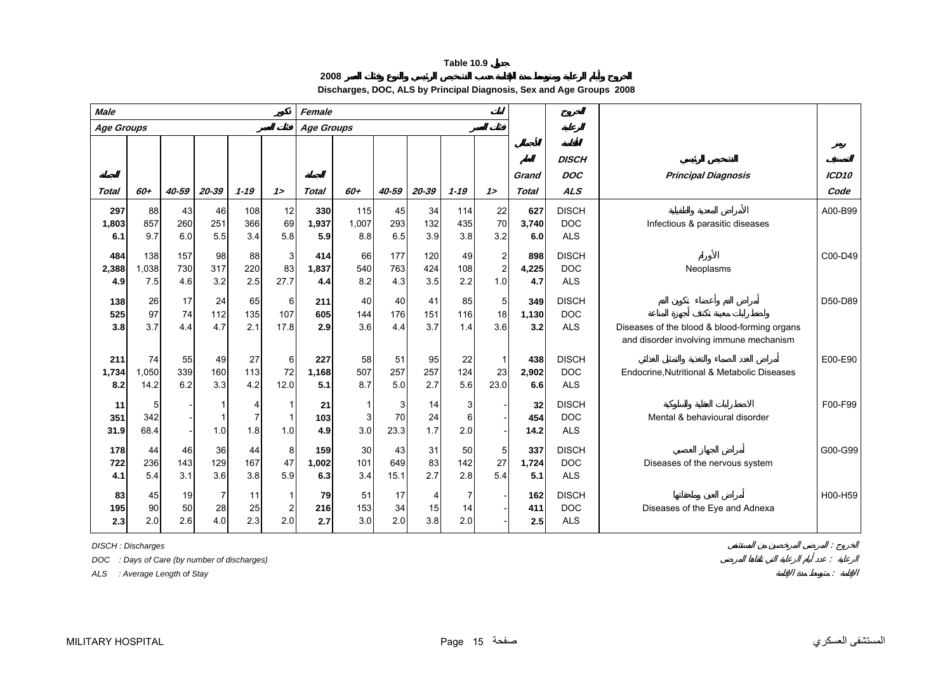**2008**

**Discharges, DOC, ALS by Principal Diagnosis, Sex and Age Groups 2008**

<span id="page-14-0"></span>

| <b>Male</b>         |                     |                   | Female                      |                            |                             |                     |                            |                   |                   |                   |                                       |                       |                                          |                                                                                         |                           |
|---------------------|---------------------|-------------------|-----------------------------|----------------------------|-----------------------------|---------------------|----------------------------|-------------------|-------------------|-------------------|---------------------------------------|-----------------------|------------------------------------------|-----------------------------------------------------------------------------------------|---------------------------|
| Age Groups          |                     |                   |                             |                            |                             | <b>Age Groups</b>   |                            |                   |                   |                   |                                       |                       |                                          |                                                                                         |                           |
| <b>Total</b>        | 60+                 | 40-59             | 20-39                       | $1 - 19$                   | 12                          | <b>Total</b>        | 60+                        | 40-59             | 20-39             | $1 - 19$          | 12                                    | Grand<br><b>Total</b> | <b>DISCH</b><br><b>DOC</b><br><b>ALS</b> | <b>Principal Diagnosis</b>                                                              | ICD <sub>10</sub><br>Code |
| 297<br>1,803<br>6.1 | 88<br>857<br>9.7    | 43<br>260<br>6.0  | 46<br>251<br>5.5            | 108<br>366<br>3.4          | 12<br>69<br>5.8             | 330<br>1,937<br>5.9 | 115<br>1,007<br>8.8        | 45<br>293<br>6.5  | 34<br>132<br>3.9  | 114<br>435<br>3.8 | 22<br>70<br>3.2                       | 627<br>3,740<br>6.0   | <b>DISCH</b><br><b>DOC</b><br><b>ALS</b> | Infectious & parasitic diseases                                                         | A00-B99                   |
| 484<br>2,388<br>4.9 | 138<br>1.038<br>7.5 | 157<br>730<br>4.6 | 98<br>317<br>3.2            | 88<br>220<br>2.5           | 3<br>83<br>27.7             | 414<br>1,837<br>4.4 | 66<br>540<br>8.2           | 177<br>763<br>4.3 | 120<br>424<br>3.5 | 49<br>108<br>2.2  | $\mathbf{2}$<br>$\overline{c}$<br>1.0 | 898<br>4,225<br>4.7   | <b>DISCH</b><br><b>DOC</b><br><b>ALS</b> | Neoplasms                                                                               | C00-D49                   |
| 138<br>525<br>3.8   | 26<br>97<br>3.7     | 17<br>74<br>4.4   | 24<br>112<br>4.7            | 65<br>135<br>2.1           | 6<br>107<br>17.8            | 211<br>605<br>2.9   | 40<br>144<br>3.6           | 40<br>176<br>4.4  | 41<br>151<br>3.7  | 85<br>116<br>1.4  | 5 <sub>5</sub><br>18<br>3.6           | 349<br>1,130<br>3.2   | <b>DISCH</b><br><b>DOC</b><br><b>ALS</b> | Diseases of the blood & blood-forming organs<br>and disorder involving immune mechanism | D50-D89                   |
| 211<br>1,734<br>8.2 | 74<br>1,050<br>14.2 | 55<br>339<br>6.2  | 49<br>160<br>3.3            | 27<br>113<br>4.2           | 6<br>72<br>12.0             | 227<br>1.168<br>5.1 | 58<br>507<br>8.7           | 51<br>257<br>5.0  | 95<br>257<br>2.7  | 22<br>124<br>5.6  | $\mathbf 1$<br>23<br>23.0             | 438<br>2,902<br>6.6   | <b>DISCH</b><br><b>DOC</b><br><b>ALS</b> | Endocrine, Nutritional & Metabolic Diseases                                             | E00-E90                   |
| 11<br>351<br>31.9   | 5<br>342<br>68.4    |                   | 1.0                         | 4<br>$\overline{7}$<br>1.8 | 1.0                         | 21<br>103<br>4.9    | $\overline{1}$<br>3<br>3.0 | 3<br>70<br>23.3   | 14<br>24<br>1.7   | 3<br>6<br>2.0     |                                       | 32<br>454<br>14.2     | <b>DISCH</b><br><b>DOC</b><br><b>ALS</b> | Mental & behavioural disorder                                                           | F00-F99                   |
| 178<br>722<br>4.1   | 44<br>236<br>5.4    | 46<br>143<br>3.1  | 36<br>129<br>3.6            | 44<br>167<br>3.8           | 8<br>47<br>5.9              | 159<br>1,002<br>6.3 | $30\,$<br>101<br>3.4       | 43<br>649<br>15.1 | 31<br>83<br>2.7   | 50<br>142<br>2.8  | 5 <sub>l</sub><br>27<br>5.4           | 337<br>1,724<br>5.1   | <b>DISCH</b><br><b>DOC</b><br><b>ALS</b> | Diseases of the nervous system                                                          | G00-G99                   |
| 83<br>195<br>2.3    | 45<br>90<br>2.0     | 19<br>50<br>2.6   | $\overline{7}$<br>28<br>4.0 | 11<br>25<br>2.3            | -1<br>$\overline{2}$<br>2.0 | 79<br>216<br>2.7    | 51<br>153<br>3.0           | 17<br>34<br>2.0   | 4<br>15<br>3.8    | 14<br>2.0         |                                       | 162<br>411<br>2.5     | <b>DISCH</b><br><b>DOC</b><br><b>ALS</b> | Diseases of the Eye and Adnexa                                                          | H00-H59                   |

*DISCH : Discharges* :

*DOC : Days of Care (by number of discharges)* :

*ALS : Average Length of Stay* :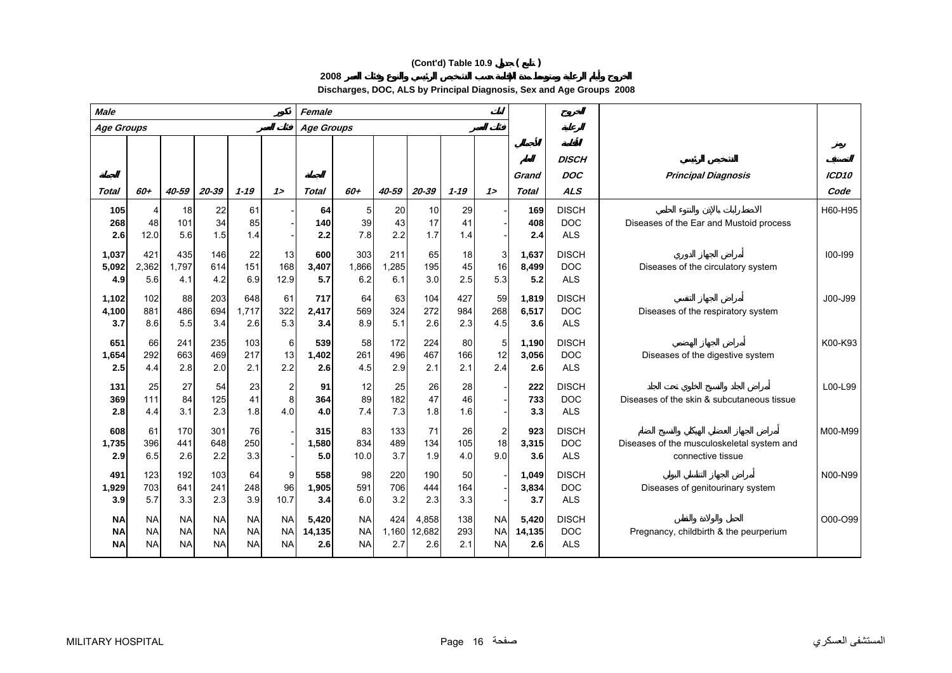# **(Cont'd) Table 10.9 ( )**

**2008**

**Discharges, DOC, ALS by Principal Diagnosis, Sex and Age Groups 2008**

| <b>Male</b>                         |                                     |                                     | Female                              |                                     |                                     |                        |                                     |                     |                        |                   |                                     |                        |                                          |                                                                 |                   |
|-------------------------------------|-------------------------------------|-------------------------------------|-------------------------------------|-------------------------------------|-------------------------------------|------------------------|-------------------------------------|---------------------|------------------------|-------------------|-------------------------------------|------------------------|------------------------------------------|-----------------------------------------------------------------|-------------------|
| Age Groups                          |                                     |                                     |                                     |                                     |                                     | <b>Age Groups</b>      |                                     |                     |                        |                   |                                     |                        |                                          |                                                                 |                   |
|                                     | 60+                                 | 40-59                               |                                     | $1 - 19$                            | 12                                  |                        | 60+                                 |                     | 20-39                  | $1 - 19$          | 12                                  | Grand                  | <b>DISCH</b><br><b>DOC</b><br><b>ALS</b> | <b>Principal Diagnosis</b>                                      | ICD <sub>10</sub> |
| <b>Total</b>                        |                                     |                                     | 20-39                               |                                     |                                     | <b>Total</b>           |                                     | 40-59               |                        |                   |                                     | <b>Total</b>           |                                          |                                                                 | Code              |
| 105<br>268<br>2.6                   | 4<br>48<br>12.0                     | 18<br>101<br>5.6                    | 22<br>34<br>1.5                     | 61<br>85<br>1.4                     |                                     | 64<br>140<br>2.2       | 5<br>39<br>7.8                      | 20<br>43<br>2.2     | 10<br>17<br>1.7        | 29<br>41<br>1.4   |                                     | 169<br>408<br>2.4      | <b>DISCH</b><br><b>DOC</b><br><b>ALS</b> | Diseases of the Ear and Mustoid process                         | H60-H95           |
| 1,037<br>5,092<br>4.9               | 421<br>2,362<br>5.6                 | 435<br>1,797<br>4.1                 | 146<br>614<br>4.2                   | 22<br>151<br>6.9                    | 13<br>168<br>12.9                   | 600<br>3,407<br>5.7    | 303<br>1,866<br>6.2                 | 211<br>1,285<br>6.1 | 65<br>195<br>3.0       | 18<br>45<br>2.5   | 3<br>16<br>5.3                      | 1,637<br>8,499<br>5.2  | <b>DISCH</b><br><b>DOC</b><br><b>ALS</b> | Diseases of the circulatory system                              | $100 - 199$       |
| 1,102<br>4,100<br>3.7               | 102<br>881<br>8.6                   | 88<br>486<br>5.5                    | 203<br>694<br>3.4                   | 648<br>1,717<br>2.6                 | 61<br>322<br>5.3                    | 717<br>2,417<br>3.4    | 64<br>569<br>8.9                    | 63<br>324<br>5.1    | 104<br>272<br>2.6      | 427<br>984<br>2.3 | 59<br>268<br>4.5                    | 1,819<br>6,517<br>3.6  | <b>DISCH</b><br><b>DOC</b><br><b>ALS</b> | Diseases of the respiratory system                              | J00-J99           |
| 651<br>1,654<br>2.5                 | 66<br>292<br>4.4                    | 241<br>663<br>2.8                   | 235<br>469<br>2.0                   | 103<br>217<br>2.1                   | 6<br>13<br>2.2                      | 539<br>1,402<br>2.6    | 58<br>261<br>4.5                    | 172<br>496<br>2.9   | 224<br>467<br>2.1      | 80<br>166<br>2.1  | 5<br>12<br>2.4                      | 1.190<br>3,056<br>2.6  | <b>DISCH</b><br><b>DOC</b><br><b>ALS</b> | Diseases of the digestive system                                | K00-K93           |
| 131<br>369<br>2.8                   | 25<br>111<br>4.4                    | 27<br>84<br>3.1                     | 54<br>125<br>2.3                    | 23<br>41<br>1.8                     | $\overline{\mathbf{c}}$<br>8<br>4.0 | 91<br>364<br>4.0       | 12<br>89<br>7.4                     | 25<br>182<br>7.3    | 26<br>47<br>1.8        | 28<br>46<br>1.6   |                                     | 222<br>733<br>3.3      | <b>DISCH</b><br><b>DOC</b><br><b>ALS</b> | Diseases of the skin & subcutaneous tissue                      | L00-L99           |
| 608<br>1,735<br>2.9                 | 61<br>396<br>6.5                    | 170<br>441<br>2.6                   | 301<br>648<br>2.2                   | 76<br>250<br>3.3                    |                                     | 315<br>1,580<br>5.0    | 83<br>834<br>10.0                   | 133<br>489<br>3.7   | 71<br>134<br>1.9       | 26<br>105<br>4.0  | $\overline{2}$<br>18<br>9.0         | 923<br>3,315<br>3.6    | <b>DISCH</b><br><b>DOC</b><br><b>ALS</b> | Diseases of the musculoskeletal system and<br>connective tissue | M00-M99           |
| 491<br>1,929<br>3.9                 | 123<br>703<br>5.7                   | 192<br>641<br>3.3                   | 103<br>241<br>2.3                   | 64<br>248<br>3.9                    | 9<br>96<br>10.7                     | 558<br>1,905<br>3.4    | 98<br>591<br>6.0                    | 220<br>706<br>3.2   | 190<br>444<br>2.3      | 50<br>164<br>3.3  |                                     | 1,049<br>3,834<br>3.7  | <b>DISCH</b><br><b>DOC</b><br><b>ALS</b> | Diseases of genitourinary system                                | N00-N99           |
| <b>NA</b><br><b>NA</b><br><b>NA</b> | <b>NA</b><br><b>NA</b><br><b>NA</b> | <b>NA</b><br><b>NA</b><br><b>NA</b> | <b>NA</b><br><b>NA</b><br><b>NA</b> | <b>NA</b><br><b>NA</b><br><b>NA</b> | <b>NA</b><br><b>NA</b><br><b>NA</b> | 5,420<br>14,135<br>2.6 | <b>NA</b><br><b>NA</b><br><b>NA</b> | 424<br>1,160<br>2.7 | 4,858<br>12,682<br>2.6 | 138<br>293<br>2.1 | <b>NA</b><br><b>NA</b><br><b>NA</b> | 5,420<br>14,135<br>2.6 | <b>DISCH</b><br><b>DOC</b><br><b>ALS</b> | Pregnancy, childbirth & the peurperium                          | O00-O99           |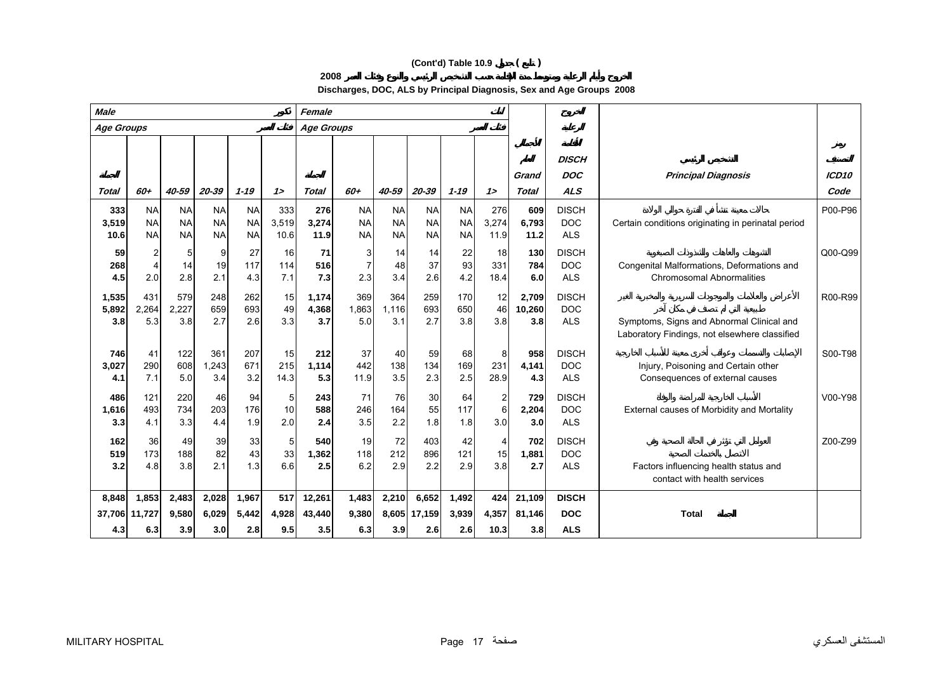# **(Cont'd) Table 10.9 ( )**

**2008**

**Discharges, DOC, ALS by Principal Diagnosis, Sex and Age Groups 2008**

| <b>Male</b>                   |                                         |                                     |                                     |                                     |                      | Female                  |                                     |                                     |                                     |                                     |                             |                         |                                          |                                                                                            |                   |
|-------------------------------|-----------------------------------------|-------------------------------------|-------------------------------------|-------------------------------------|----------------------|-------------------------|-------------------------------------|-------------------------------------|-------------------------------------|-------------------------------------|-----------------------------|-------------------------|------------------------------------------|--------------------------------------------------------------------------------------------|-------------------|
| Age Groups                    |                                         |                                     |                                     |                                     |                      | <b>Age Groups</b>       |                                     |                                     |                                     |                                     |                             |                         |                                          |                                                                                            |                   |
|                               |                                         |                                     |                                     |                                     |                      |                         |                                     |                                     |                                     |                                     |                             | Grand                   | <b>DISCH</b><br><b>DOC</b>               | <b>Principal Diagnosis</b>                                                                 | ICD <sub>10</sub> |
| Total                         | 60+                                     | 40-59                               | 20-39                               | $1 - 19$                            | 12                   | <b>Total</b>            | 60+                                 | 40-59                               | 20-39                               | $1 - 19$                            | $1\geq$                     | Total                   | <b>ALS</b>                               |                                                                                            | Code              |
| 333<br>3,519<br>10.6          | <b>NA</b><br><b>NA</b><br><b>NA</b>     | <b>NA</b><br><b>NA</b><br><b>NA</b> | <b>NA</b><br><b>NA</b><br><b>NA</b> | <b>NA</b><br><b>NA</b><br><b>NA</b> | 333<br>3,519<br>10.6 | 276<br>3,274<br>11.9    | <b>NA</b><br><b>NA</b><br><b>NA</b> | <b>NA</b><br><b>NA</b><br><b>NA</b> | <b>NA</b><br><b>NA</b><br><b>NA</b> | <b>NA</b><br><b>NA</b><br><b>NA</b> | 276<br>3,274<br>11.9        | 609<br>6,793<br>11.2    | <b>DISCH</b><br><b>DOC</b><br><b>ALS</b> | Certain conditions originating in perinatal period                                         | P00-P96           |
| 59<br>268<br>4.5              | $\overline{c}$<br>$\overline{4}$<br>2.0 | 5<br>14<br>2.8                      | 9<br>19<br>2.1                      | 27<br>117<br>4.3                    | 16<br>114<br>7.1     | 71<br>516<br>7.3        | 3<br>$\overline{7}$<br>2.3          | 14<br>48<br>3.4                     | 14<br>37<br>2.6                     | 22<br>93<br>4.2                     | 18<br>331<br>18.4           | 130<br>784<br>6.0       | <b>DISCH</b><br><b>DOC</b><br><b>ALS</b> | Congenital Malformations, Deformations and<br><b>Chromosomal Abnormalities</b>             | Q00-Q99           |
| 1,535<br>5,892<br>3.8         | 431<br>2,264<br>5.3                     | 579<br>2,227<br>3.8                 | 248<br>659<br>2.7                   | 262<br>693<br>2.6                   | 15<br>49<br>3.3      | 1,174<br>4,368<br>3.7   | 369<br>1,863<br>5.0                 | 364<br>1.116<br>3.1                 | 259<br>693<br>2.7                   | 170<br>650<br>3.8                   | 12<br>46<br>3.8             | 2,709<br>10,260<br>3.8  | <b>DISCH</b><br><b>DOC</b><br><b>ALS</b> | Symptoms, Signs and Abnormal Clinical and<br>Laboratory Findings, not elsewhere classified | R00-R99           |
| 746<br>3,027<br>4.1           | 41<br>290<br>7.1                        | 122<br>608<br>5.0                   | 361<br>1,243<br>3.4                 | 207<br>671<br>3.2                   | 15<br>215<br>14.3    | 212<br>1,114<br>5.3     | 37<br>442<br>11.9                   | 40<br>138<br>3.5                    | 59<br>134<br>2.3                    | 68<br>169<br>2.5                    | 8<br>231<br>28.9            | 958<br>4,141<br>4.3     | <b>DISCH</b><br><b>DOC</b><br><b>ALS</b> | Injury, Poisoning and Certain other<br>Consequences of external causes                     | S00-T98           |
| 486<br>1,616<br>3.3           | 121<br>493<br>4.1                       | 220<br>734<br>3.3                   | 46<br>203<br>4.4                    | 94<br>176<br>1.9                    | 5<br>10<br>2.0       | 243<br>588<br>2.4       | 71<br>246<br>3.5                    | 76<br>164<br>2.2                    | 30<br>55<br>1.8                     | 64<br>117<br>1.8                    | $\overline{2}$<br>6<br>3.0  | 729<br>2,204<br>3.0     | <b>DISCH</b><br><b>DOC</b><br><b>ALS</b> | External causes of Morbidity and Mortality                                                 | V00-Y98           |
| 162<br>519<br>3.2             | 36<br>173<br>4.8                        | 49<br>188<br>3.8                    | 39<br>82<br>2.1                     | 33<br>43<br>1.3                     | 5<br>33<br>6.6       | 540<br>1,362<br>2.5     | 19<br>118<br>6.2                    | 72<br>212<br>2.9                    | 403<br>896<br>2.2                   | 42<br>121<br>2.9                    | $\overline{4}$<br>15<br>3.8 | 702<br>1,881<br>2.7     | <b>DISCH</b><br><b>DOC</b><br><b>ALS</b> | Factors influencing health status and<br>contact with health services                      | Z00-Z99           |
| 8,848<br>37,706 11,727<br>4.3 | 1,853<br>6.3                            | 2,483<br>9,580<br>3.9               | 2,028<br>6,029<br>3.0               | 1,967<br>5,442<br>2.8               | 517<br>4,928<br>9.5  | 12,261<br>43,440<br>3.5 | 1,483<br>9,380<br>6.3               | 2,210<br>3.9                        | 6,652<br>8,605 17,159<br>2.6        | 1,492<br>3,939<br>2.6               | 424<br>4,357<br>10.3        | 21,109<br>81,146<br>3.8 | <b>DISCH</b><br><b>DOC</b><br><b>ALS</b> | <b>Total</b>                                                                               |                   |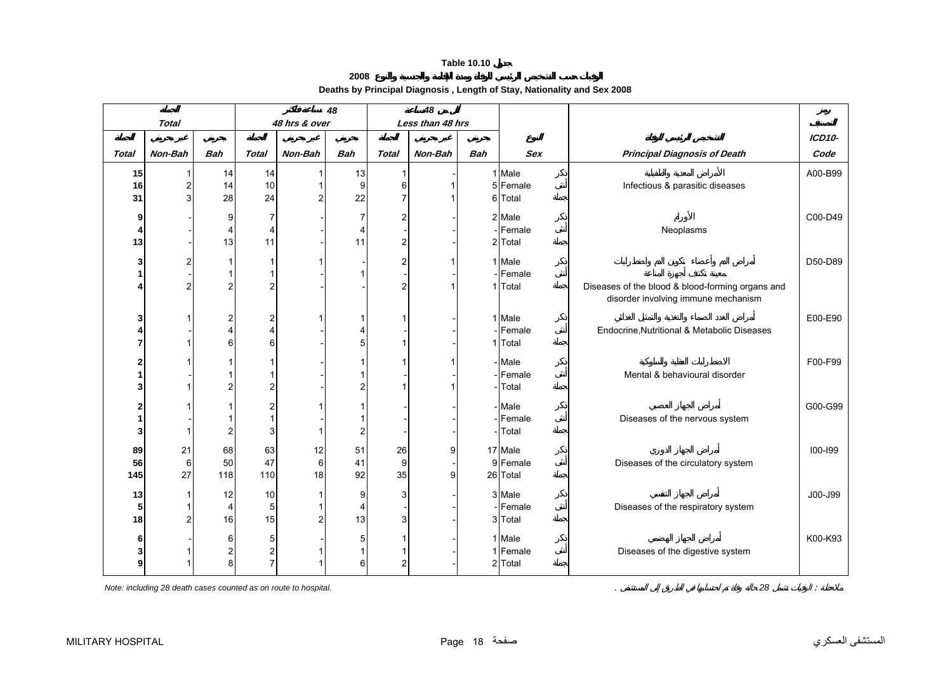#### **2008**

**Deaths by Principal Diagnosis , Length of Stay, Nationality and Sex 2008** 

<span id="page-17-0"></span>

|                |                |                |                         |                | 48                      |                | 48               |            |            |                                                  |               |
|----------------|----------------|----------------|-------------------------|----------------|-------------------------|----------------|------------------|------------|------------|--------------------------------------------------|---------------|
|                | <b>Total</b>   |                |                         | 48 hrs & over  |                         |                | Less than 48 hrs |            |            |                                                  |               |
|                |                |                |                         |                |                         |                |                  |            |            |                                                  | <b>ICD10-</b> |
| <b>Total</b>   | Non-Bah        | <b>Bah</b>     | <b>Total</b>            | Non-Bah        | <b>Bah</b>              | <b>Total</b>   | Non-Bah          | <b>Bah</b> | <b>Sex</b> | <b>Principal Diagnosis of Death</b>              | Code          |
| 15             |                | 14             | 14                      |                | 13                      | $\mathbf{1}$   |                  |            | 1 Male     |                                                  | A00-B99       |
| 16             | $\overline{2}$ | 14             | 10                      |                | $\boldsymbol{9}$        | 6              | 1                |            | 5 Female   | Infectious & parasitic diseases                  |               |
| 31             | 3              | 28             | 24                      | $\overline{c}$ | 22                      | $\overline{7}$ | 1                |            | 6 Total    |                                                  |               |
| 9              |                | 9              | $\overline{7}$          |                | $\overline{7}$          | $\overline{a}$ |                  |            | 2 Male     |                                                  | C00-D49       |
| 4              |                | 4              | $\overline{4}$          |                | 4                       |                |                  |            | - Female   | Neoplasms                                        |               |
| 13             |                | 13             | 11                      |                | 11                      | $\overline{a}$ |                  |            | 2 Total    |                                                  |               |
| 3              |                | 1              | 1                       |                |                         | $\overline{a}$ |                  |            | 1 Male     |                                                  | D50-D89       |
| 1              |                | 1              |                         |                | $\mathbf{1}$            |                |                  |            | Female     |                                                  |               |
| 4              | $\overline{2}$ | $\overline{c}$ | $\overline{2}$          |                |                         | $\overline{2}$ |                  | -1         | Total      | Diseases of the blood & blood-forming organs and |               |
|                |                |                |                         |                |                         |                |                  |            |            | disorder involving immune mechanism              |               |
| 3              |                | 2              | $\overline{\mathbf{c}}$ |                | $\mathbf{1}$            |                |                  |            | 1 Male     |                                                  | E00-E90       |
| 4              |                | 4              | $\overline{4}$          |                | 4                       |                |                  |            | Female     | Endocrine, Nutritional & Metabolic Diseases      |               |
| 7              |                | 6              | 6                       |                | 5                       | 1              |                  |            | 1 Total    |                                                  |               |
|                |                |                |                         |                |                         |                |                  |            |            |                                                  |               |
| 2              |                |                |                         |                | $\mathbf{1}$            | 1              | 1                |            | - Male     |                                                  | F00-F99       |
| 1<br>3         |                | 2              | $\overline{2}$          |                | $\mathbf{1}$            | 1              |                  |            | Female     | Mental & behavioural disorder                    |               |
|                |                |                |                         |                | $\overline{\mathbf{c}}$ |                |                  |            | Total      |                                                  |               |
| 2              |                |                | $\overline{\mathbf{c}}$ |                | $\mathbf{1}$            |                |                  |            | - Male     |                                                  | G00-G99       |
| 1              |                |                | 1                       |                | $\mathbf{1}$            |                |                  |            | Female     | Diseases of the nervous system                   |               |
| 3              |                | $\overline{c}$ | 3                       | 1              | $\overline{\mathbf{c}}$ |                |                  |            | Total      |                                                  |               |
| 89             | 21             | 68             | 63                      | 12             | 51                      | 26             | 9                |            | 17 Male    |                                                  | 100-199       |
| 56             | $6 \,$         | 50             | 47                      | 6              | 41                      | 9              |                  |            | 9 Female   | Diseases of the circulatory system               |               |
| 145            | 27             | 118            | 110                     | 18             | 92                      | 35             | 9                |            | 26 Total   |                                                  |               |
| 13             |                | 12             | 10                      | 1              | 9                       | 3              |                  |            | 3 Male     |                                                  | J00-J99       |
| 5 <sub>l</sub> |                | 4              | 5                       | 1              | $\overline{4}$          |                |                  |            | - Female   | Diseases of the respiratory system               |               |
| 18             | $\overline{c}$ | 16             | 15                      | $\overline{c}$ | 13                      | $\overline{3}$ |                  |            | 3 Total    |                                                  |               |
| 6              |                | 6              | 5                       |                | 5                       |                |                  |            | 1 Male     |                                                  | K00-K93       |
| 3              |                | 2              | $\overline{\mathbf{c}}$ |                | $\mathbf{1}$            |                |                  |            | 1 Female   | Diseases of the digestive system                 |               |
| 9              |                | 8              | $\overline{7}$          |                | $6 \,$                  | $\overline{2}$ |                  |            | 2 Total    |                                                  |               |
|                |                |                |                         |                |                         |                |                  |            |            |                                                  |               |

*Note: including 28 death cases counted as on route to hospital.*  $\blacksquare$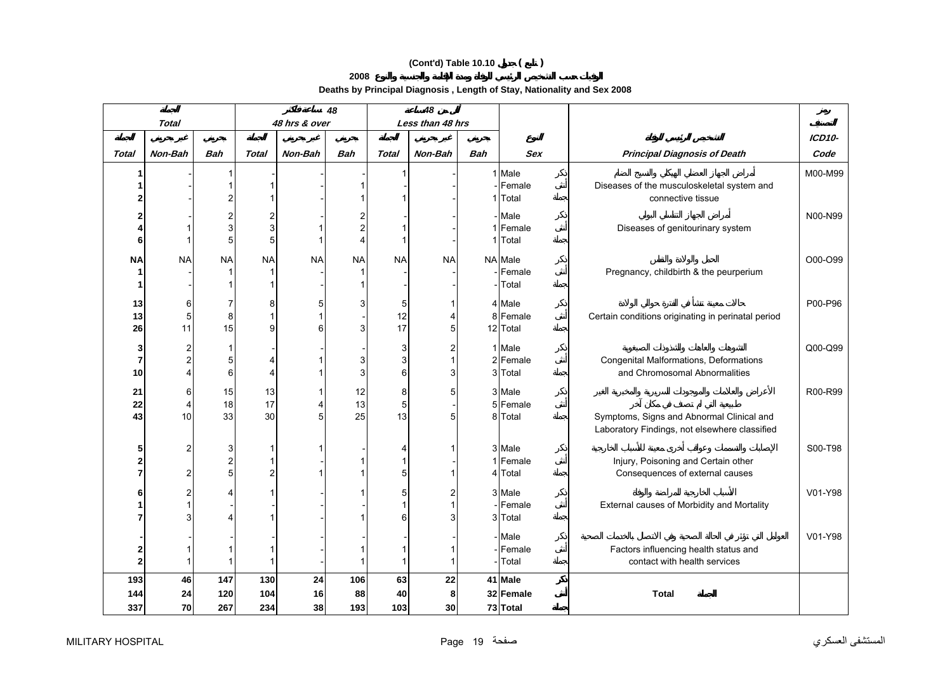# **(Cont'd) Table 10.10 ( )**

**2008** 

**Deaths by Principal Diagnosis , Length of Stay, Nationality and Sex 2008** 

|                         |              |                |                |               | 48<br>48       |              |                  |            |            |                                                    |         |
|-------------------------|--------------|----------------|----------------|---------------|----------------|--------------|------------------|------------|------------|----------------------------------------------------|---------|
|                         | <b>Total</b> |                |                | 48 hrs & over |                |              | Less than 48 hrs |            |            |                                                    |         |
|                         |              |                |                |               |                |              |                  |            |            |                                                    | ICD10-  |
| Total                   | Non-Bah      | <b>Bah</b>     | Total          | Non-Bah       | <b>Bah</b>     | <b>Total</b> | Non-Bah          | <b>Bah</b> | <b>Sex</b> | <b>Principal Diagnosis of Death</b>                | Code    |
| 1                       |              |                |                |               |                |              |                  |            | 1 Male     |                                                    | M00-M99 |
| 1                       |              |                | 1              |               |                |              |                  |            | - Female   | Diseases of the musculoskeletal system and         |         |
| $\overline{2}$          |              | 2              | 1              |               |                |              |                  |            | 1 Total    | connective tissue                                  |         |
| 2                       |              | $\overline{c}$ | 2              |               | $\overline{c}$ |              |                  |            | - Male     |                                                    | N00-N99 |
| 4                       |              | 3              | 3              |               | $\overline{c}$ |              |                  |            | 1 Female   | Diseases of genitourinary system                   |         |
| 6                       |              | 5              | 5              |               | 4              |              |                  |            | 1 Total    |                                                    |         |
| <b>NA</b>               | <b>NA</b>    | <b>NA</b>      | <b>NA</b>      | <b>NA</b>     | <b>NA</b>      | <b>NA</b>    | <b>NA</b>        |            | NA Male    |                                                    | O00-O99 |
| 1                       |              |                | 1              |               |                |              |                  |            | Female     | Pregnancy, childbirth & the peurperium             |         |
| 1                       |              |                | 1              |               |                |              |                  |            | Total      |                                                    |         |
| 13                      | 6            | 7              | 8              | 5             | 3              | 5            |                  |            | 4 Male     |                                                    | P00-P96 |
| 13                      | 5            | 8              | 1              |               |                | 12           | 4                |            | 8 Female   | Certain conditions originating in perinatal period |         |
| 26                      | 11           | 15             | 9              | 6             | 3              | 17           | 5                |            | 12 Total   |                                                    |         |
| 3                       | 2            | 1              |                |               |                | 3            | 2                |            | 1 Male     |                                                    | Q00-Q99 |
| $\overline{7}$          | 2            | 5              | 4              |               | 3              | $\mathbf{3}$ |                  |            | 2 Female   | Congenital Malformations, Deformations             |         |
| 10                      |              | 6              | 4              |               | 3              | 6            | 3                |            | 3 Total    | and Chromosomal Abnormalities                      |         |
| 21                      | 6            | 15             | 13             |               | 12             | 8            | 5                |            | 3 Male     |                                                    | R00-R99 |
| 22                      | 4            | 18             | 17             | 4             | 13             | 5            |                  |            | 5 Female   |                                                    |         |
| 43                      | 10           | 33             | 30             | 5             | 25             | 13           | 5                |            | 8 Total    | Symptoms, Signs and Abnormal Clinical and          |         |
|                         |              |                |                |               |                |              |                  |            |            | Laboratory Findings, not elsewhere classified      |         |
| 5                       | 2            | 3              | 1              |               |                | 4            |                  |            | 3 Male     |                                                    | S00-T98 |
| 2                       |              | $\overline{2}$ | $\mathbf{1}$   |               |                |              |                  |            | 1 Female   | Injury, Poisoning and Certain other                |         |
| $\overline{7}$          | 2            | 5              | $\overline{c}$ |               | 1              | 5            |                  |            | 4 Total    | Consequences of external causes                    |         |
| 6                       |              |                | $\mathbf 1$    |               |                | 5            | 2                |            | 3 Male     |                                                    | V01-Y98 |
| 1                       |              |                |                |               |                |              |                  |            | -Female    | External causes of Morbidity and Mortality         |         |
| $\overline{7}$          |              |                | 1              |               |                | 6            | 3                |            | 3 Total    |                                                    |         |
|                         |              |                |                |               |                |              |                  |            | - Male     |                                                    | V01-Y98 |
| 2                       |              |                |                |               |                |              |                  |            | Female     | Factors influencing health status and              |         |
| $\overline{\mathbf{c}}$ |              |                | 1              |               |                |              | 1                |            | Total      | contact with health services                       |         |
| 193                     | 46           | 147            | 130            | 24            | 106            | 63           | 22               |            | 41 Male    |                                                    |         |
| 144                     | 24           | 120            | 104            | 16            | 88             | 40           | 8                |            | 32 Female  | <b>Total</b>                                       |         |
| 337                     | 70           | 267            | 234            | 38            | 193            | 103          | 30               |            | 73 Total   |                                                    |         |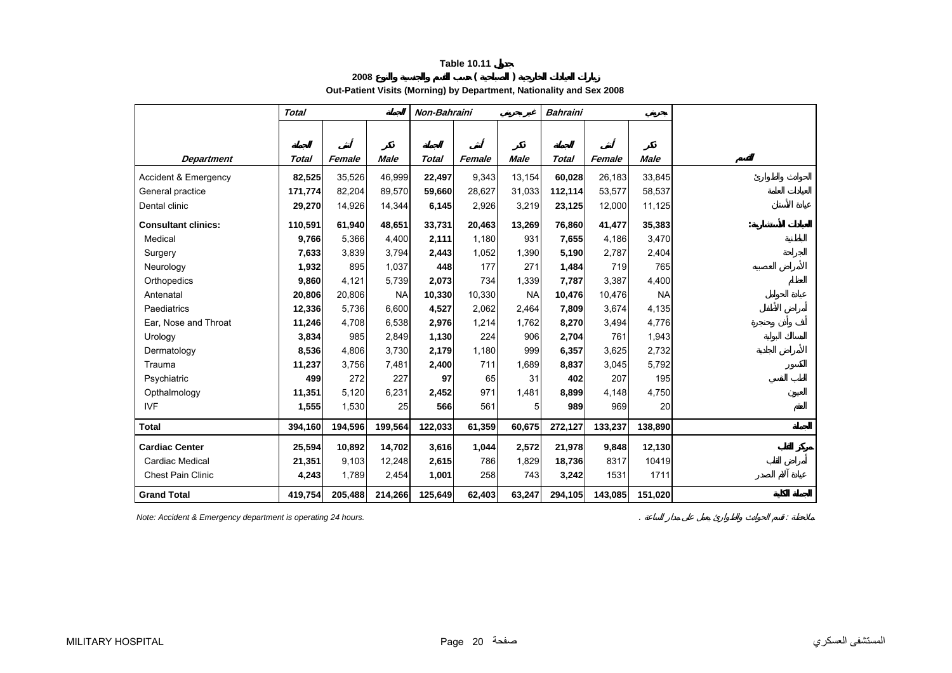**2008 ( )** 

**Out-Patient Visits (Morning) by Department, Nationality and Sex 2008** 

<span id="page-19-0"></span>

|                            | <b>Total</b> |         | Non-Bahraini |         |        |           | <b>Bahraini</b> |         |             |  |
|----------------------------|--------------|---------|--------------|---------|--------|-----------|-----------------|---------|-------------|--|
|                            |              |         |              |         |        |           |                 |         |             |  |
|                            |              |         |              |         |        |           |                 |         |             |  |
| <b>Department</b>          | Total        | Female  | Male         | Total   | Female | Male      | Total           | Female  | <b>Male</b> |  |
| Accident & Emergency       | 82,525       | 35,526  | 46,999       | 22,497  | 9,343  | 13,154    | 60,028          | 26,183  | 33,845      |  |
| General practice           | 171,774      | 82,204  | 89,570       | 59,660  | 28,627 | 31,033    | 112,114         | 53,577  | 58,537      |  |
| Dental clinic              | 29,270       | 14,926  | 14,344       | 6,145   | 2,926  | 3,219     | 23,125          | 12,000  | 11,125      |  |
| <b>Consultant clinics:</b> | 110,591      | 61,940  | 48,651       | 33,731  | 20,463 | 13,269    | 76,860          | 41,477  | 35,383      |  |
| Medical                    | 9,766        | 5,366   | 4,400        | 2,111   | 1,180  | 931       | 7,655           | 4,186   | 3,470       |  |
| Surgery                    | 7,633        | 3,839   | 3,794        | 2,443   | 1,052  | 1,390     | 5,190           | 2,787   | 2,404       |  |
| Neurology                  | 1,932        | 895     | 1,037        | 448     | 177    | 271       | 1,484           | 719     | 765         |  |
| Orthopedics                | 9,860        | 4,121   | 5,739        | 2,073   | 734    | 1,339     | 7,787           | 3,387   | 4,400       |  |
| Antenatal                  | 20,806       | 20,806  | <b>NA</b>    | 10,330  | 10,330 | <b>NA</b> | 10,476          | 10,476  | <b>NA</b>   |  |
| Paediatrics                | 12,336       | 5,736   | 6,600        | 4,527   | 2,062  | 2,464     | 7,809           | 3,674   | 4,135       |  |
| Ear, Nose and Throat       | 11,246       | 4,708   | 6,538        | 2,976   | 1,214  | 1,762     | 8,270           | 3,494   | 4,776       |  |
| Urology                    | 3,834        | 985     | 2,849        | 1,130   | 224    | 906       | 2,704           | 761     | 1,943       |  |
| Dermatology                | 8,536        | 4,806   | 3,730        | 2,179   | 1,180  | 999       | 6,357           | 3,625   | 2,732       |  |
| Trauma                     | 11,237       | 3,756   | 7,481        | 2,400   | 711    | 1,689     | 8,837           | 3,045   | 5,792       |  |
| Psychiatric                | 499          | 272     | 227          | 97      | 65     | 31        | 402             | 207     | 195         |  |
| Opthalmology               | 11,351       | 5,120   | 6,231        | 2,452   | 971    | 1,481     | 8,899           | 4,148   | 4,750       |  |
| <b>IVF</b>                 | 1,555        | 1,530   | 25           | 566     | 561    | 5         | 989             | 969     | 20          |  |
| <b>Total</b>               | 394,160      | 194,596 | 199,564      | 122,033 | 61,359 | 60,675    | 272,127         | 133,237 | 138,890     |  |
| <b>Cardiac Center</b>      | 25,594       | 10,892  | 14,702       | 3,616   | 1,044  | 2,572     | 21,978          | 9,848   | 12,130      |  |
| Cardiac Medical            | 21,351       | 9,103   | 12,248       | 2,615   | 786    | 1,829     | 18,736          | 8317    | 10419       |  |
| <b>Chest Pain Clinic</b>   | 4,243        | 1,789   | 2,454        | 1,001   | 258    | 743       | 3,242           | 1531    | 1711        |  |
| <b>Grand Total</b>         | 419,754      | 205,488 | 214,266      | 125,649 | 62,403 | 63,247    | 294,105         | 143,085 | 151,020     |  |

*Note: Accident & Emergency department is operating 24 hours.* . :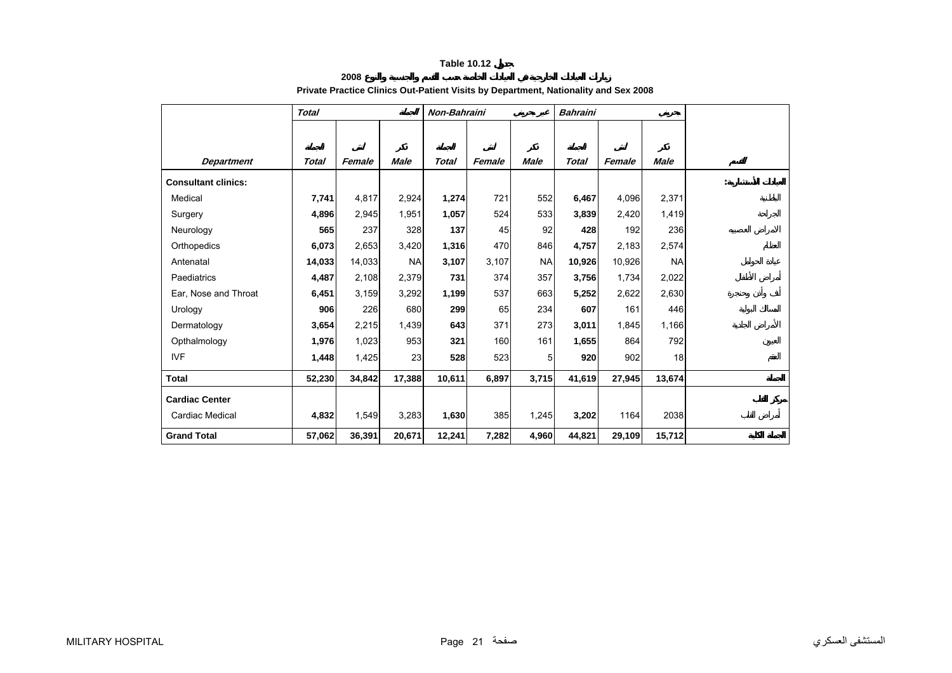**2008**

<span id="page-20-0"></span>

|                            | <b>Total</b> |        |             | Non-Bahraini |        |                | <b>Bahraini</b> |        |             |  |
|----------------------------|--------------|--------|-------------|--------------|--------|----------------|-----------------|--------|-------------|--|
|                            |              |        |             |              |        |                |                 |        |             |  |
|                            |              |        |             |              |        |                |                 |        |             |  |
| <b>Department</b>          | <b>Total</b> | Female | <b>Male</b> | <b>Total</b> | Female | <b>Male</b>    | <b>Total</b>    | Female | <b>Male</b> |  |
| <b>Consultant clinics:</b> |              |        |             |              |        |                |                 |        |             |  |
| Medical                    | 7,741        | 4,817  | 2,924       | 1,274        | 721    | 552            | 6,467           | 4,096  | 2,371       |  |
| Surgery                    | 4,896        | 2,945  | 1,951       | 1,057        | 524    | 533            | 3,839           | 2,420  | 1,419       |  |
| Neurology                  | 565          | 237    | 328         | 137          | 45     | 92             | 428             | 192    | 236         |  |
| Orthopedics                | 6,073        | 2,653  | 3,420       | 1,316        | 470    | 846            | 4,757           | 2,183  | 2,574       |  |
| Antenatal                  | 14,033       | 14,033 | <b>NA</b>   | 3,107        | 3,107  | <b>NA</b>      | 10,926          | 10,926 | <b>NA</b>   |  |
| Paediatrics                | 4,487        | 2,108  | 2,379       | 731          | 374    | 357            | 3,756           | 1,734  | 2,022       |  |
| Ear, Nose and Throat       | 6,451        | 3,159  | 3,292       | 1,199        | 537    | 663            | 5,252           | 2,622  | 2,630       |  |
| Urology                    | 906          | 226    | 680         | 299          | 65     | 234            | 607             | 161    | 446         |  |
| Dermatology                | 3,654        | 2,215  | 1,439       | 643          | 371    | 273            | 3,011           | 1,845  | 1,166       |  |
| Opthalmology               | 1,976        | 1,023  | 953         | 321          | 160    | 161            | 1,655           | 864    | 792         |  |
| <b>IVF</b>                 | 1,448        | 1,425  | 23          | 528          | 523    | 5 <sup>1</sup> | 920             | 902    | 18          |  |
| <b>Total</b>               | 52,230       | 34,842 | 17,388      | 10,611       | 6,897  | 3,715          | 41,619          | 27,945 | 13,674      |  |
| <b>Cardiac Center</b>      |              |        |             |              |        |                |                 |        |             |  |
| Cardiac Medical            | 4,832        | 1,549  | 3,283       | 1,630        | 385    | 1,245          | 3,202           | 1164   | 2038        |  |
| <b>Grand Total</b>         | 57,062       | 36,391 | 20,671      | 12,241       | 7,282  | 4,960          | 44,821          | 29,109 | 15,712      |  |

# **Private Practice Clinics Out-Patient Visits by Department, Nationality and Sex 2008**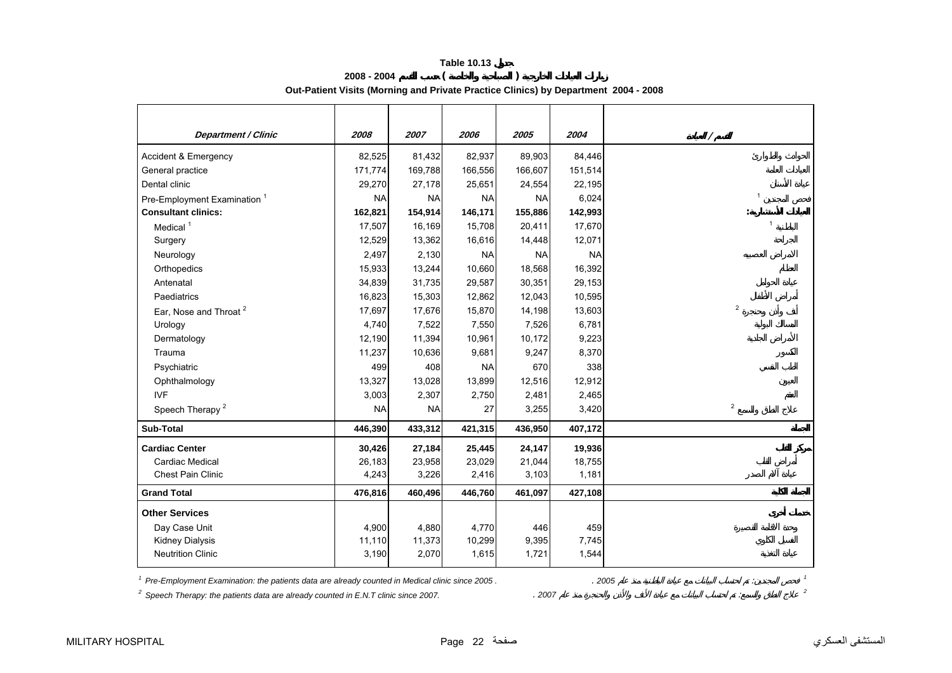|                                   | 2008 - 2004 |      |      |      |      | Out-Patient Visits (Morning and Private Practice Clinics) by Department 2004 - 2008 |  |
|-----------------------------------|-------------|------|------|------|------|-------------------------------------------------------------------------------------|--|
| <i><b>Department / Clinic</b></i> | 2008        | 2007 | 2006 | 2005 | 2004 |                                                                                     |  |

| <b>Department / Clinic</b>                                                                                   | 2008      | 2007      | 2006      | 2005      | 2004      |                |
|--------------------------------------------------------------------------------------------------------------|-----------|-----------|-----------|-----------|-----------|----------------|
| Accident & Emergency                                                                                         | 82,525    | 81,432    | 82,937    | 89,903    | 84,446    |                |
| General practice                                                                                             | 171,774   | 169,788   | 166,556   | 166,607   | 151,514   |                |
| Dental clinic                                                                                                | 29,270    | 27,178    | 25,651    | 24,554    | 22,195    |                |
| Pre-Employment Examination <sup>1</sup>                                                                      | <b>NA</b> | <b>NA</b> | <b>NA</b> | <b>NA</b> | 6,024     | $\overline{1}$ |
| <b>Consultant clinics:</b>                                                                                   | 162,821   | 154,914   | 146,171   | 155,886   | 142,993   |                |
| Medical <sup>1</sup>                                                                                         | 17,507    | 16,169    | 15,708    | 20,411    | 17,670    | $\mathbf{1}$   |
| Surgery                                                                                                      | 12,529    | 13,362    | 16,616    | 14,448    | 12,071    |                |
| Neurology                                                                                                    | 2,497     | 2,130     | <b>NA</b> | <b>NA</b> | <b>NA</b> |                |
| Orthopedics                                                                                                  | 15,933    | 13,244    | 10,660    | 18,568    | 16,392    |                |
| Antenatal                                                                                                    | 34,839    | 31,735    | 29,587    | 30,351    | 29,153    |                |
| Paediatrics                                                                                                  | 16,823    | 15,303    | 12,862    | 12,043    | 10,595    |                |
| Ear, Nose and Throat <sup>2</sup>                                                                            | 17,697    | 17,676    | 15,870    | 14,198    | 13,603    | $\mathbf 2$    |
| Urology                                                                                                      | 4,740     | 7,522     | 7,550     | 7,526     | 6,781     |                |
| Dermatology                                                                                                  | 12,190    | 11,394    | 10,961    | 10,172    | 9,223     |                |
| Trauma                                                                                                       | 11,237    | 10,636    | 9,681     | 9,247     | 8,370     |                |
| Psychiatric                                                                                                  | 499       | 408       | <b>NA</b> | 670       | 338       |                |
| Ophthalmology                                                                                                | 13,327    | 13,028    | 13,899    | 12,516    | 12,912    |                |
| <b>IVF</b>                                                                                                   | 3,003     | 2,307     | 2,750     | 2,481     | 2,465     |                |
| Speech Therapy <sup>2</sup>                                                                                  | <b>NA</b> | <b>NA</b> | 27        | 3,255     | 3,420     | $\overline{2}$ |
| <b>Sub-Total</b>                                                                                             | 446,390   | 433,312   | 421,315   | 436,950   | 407,172   |                |
| <b>Cardiac Center</b>                                                                                        | 30,426    | 27,184    | 25,445    | 24,147    | 19,936    |                |
| Cardiac Medical                                                                                              | 26,183    | 23,958    | 23,029    | 21,044    | 18,755    |                |
| Chest Pain Clinic                                                                                            | 4,243     | 3,226     | 2,416     | 3,103     | 1,181     |                |
| <b>Grand Total</b>                                                                                           | 476,816   | 460,496   | 446,760   | 461,097   | 427,108   |                |
| <b>Other Services</b>                                                                                        |           |           |           |           |           |                |
| Day Case Unit                                                                                                | 4,900     | 4,880     | 4,770     | 446       | 459       |                |
| <b>Kidney Dialysis</b>                                                                                       | 11,110    | 11,373    | 10,299    | 9,395     | 7,745     |                |
| <b>Neutrition Clinic</b>                                                                                     | 3,190     | 2,070     | 1,615     | 1,721     | 1,544     |                |
| <sup>1</sup> Pre-Employment Examination: the patients data are already counted in Medical clinic since 2005. |           |           |           |           | .2005     | $\mathbf{1}$   |
| $2\degree$ Speech Therapy: the patients data are already counted in E.N.T clinic since 2007.                 |           |           |           | 2007      |           | $\overline{c}$ |

*2 Speech Therapy: the patients data are already counted in E.N.T clinic since 2007.* . *2007* : *<sup>2</sup>*

<span id="page-21-0"></span> $\mathbf{I}$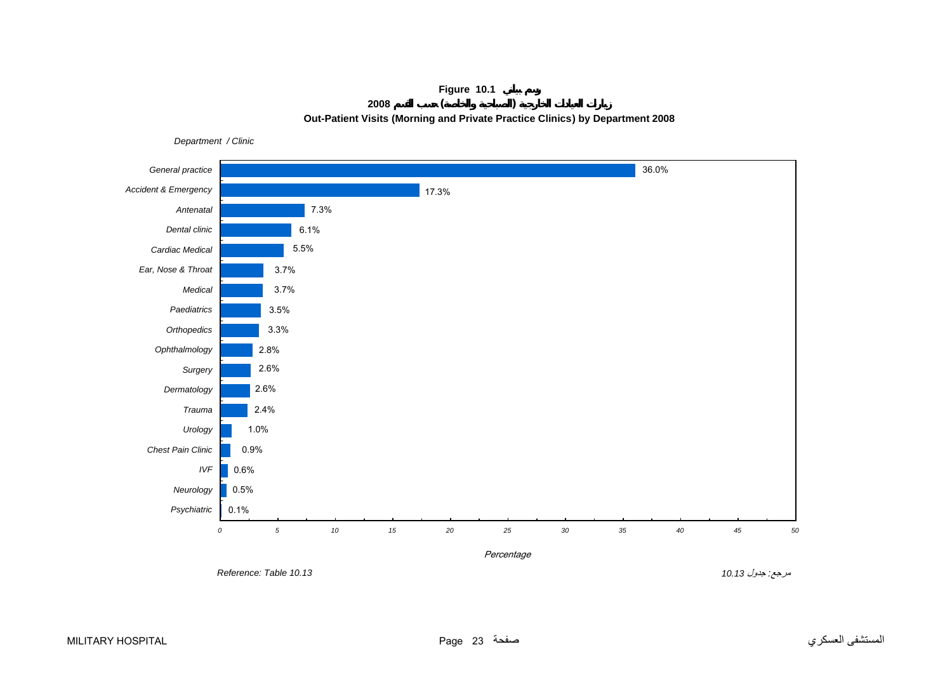# **Figure 10.1 <sup>2008</sup>( ) Out-Patient Visits (Morning and Private Practice Clinics) by Department 2008**

<span id="page-22-0"></span>36.0%17.3%7.3%6.1%5.5%3.7% 3.7%3.5%3.3% 2.8% 2.6%2.6% 2.4%1.0% 0.9%0.6%0.5%0.1% *0 5 10 15 20 25 30 35 40 45 50*50 *Psychiatric Neurology IVF Chest Pain ClinicUrology TraumaDermatology Surgery Ophthalmology Orthopedics PaediatricsMedical Ear, Nose & Throat Cardiac Medical Dental clinic Antenatal Accident & Emergency General practice* Percentage مرجع*:* جدول *10.13 10.13 Table :Reference* 

*Department / Clinic*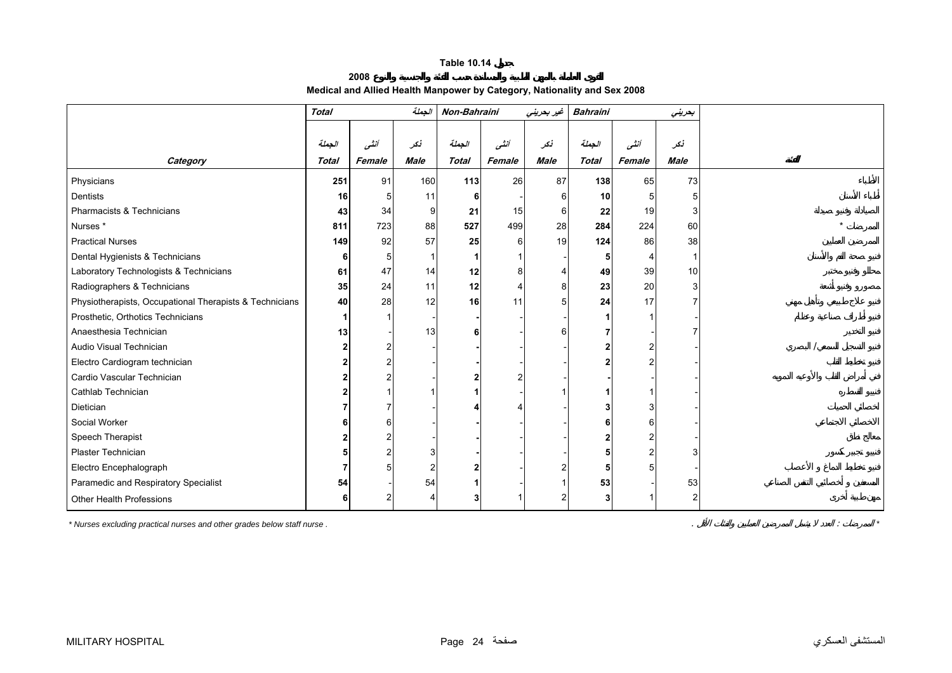**2008 Medical and Allied Health Manpower by Category, Nationality and Sex 2008**

<span id="page-23-0"></span>

|                                                         | <b>Total</b> |        | الجملة      | Non-Bahraini |        | غیر بحرینی  | <b>Bahraini</b><br>بحريني |        |             |  |
|---------------------------------------------------------|--------------|--------|-------------|--------------|--------|-------------|---------------------------|--------|-------------|--|
|                                                         |              |        |             |              |        |             |                           |        |             |  |
|                                                         | الجملة       | أنشى   | نكر         | الجملة       | أنشى   | تكر         | الجملة                    | أنشى   | نكر         |  |
| Category                                                | <b>Total</b> | Female | <b>Male</b> | <b>Total</b> | Female | <b>Male</b> | <b>Total</b>              | Female | <b>Male</b> |  |
| Physicians                                              | 251          | 91     | 160         | $113$        | 26     | 87          | 138                       | 65     | 73          |  |
| Dentists                                                | 16           | 5      | 11          |              |        |             | 10                        |        |             |  |
| Pharmacists & Technicians                               | 43           | 34     | 9           | 21           | 15     |             | 22                        | 19     |             |  |
| Nurses <sup>*</sup>                                     | 811          | 723    | 88          | 527          | 499    | 28          | 284                       | 224    | 60          |  |
| <b>Practical Nurses</b>                                 | 149          | 92     | 57          | 25           | 6      | 19          | 124                       | 86     | 38          |  |
| Dental Hygienists & Technicians                         | 6            | 5      |             |              |        |             |                           |        |             |  |
| Laboratory Technologists & Technicians                  | 61           | 47     | 14          | 12           |        |             | 49                        | 39     | 10          |  |
| Radiographers & Technicians                             | 35           | 24     | 11          | 12           |        |             | 23                        | 20     |             |  |
| Physiotherapists, Occupational Therapists & Technicians | 40           | 28     | 12          | 16           | 11     |             | 24                        | 17     |             |  |
| Prosthetic, Orthotics Technicians                       |              |        |             |              |        |             |                           |        |             |  |
| Anaesthesia Technician                                  | 13           |        | 13          | 61           |        |             |                           |        |             |  |
| Audio Visual Technician                                 |              |        |             |              |        |             |                           |        |             |  |
| Electro Cardiogram technician                           |              |        |             |              |        |             |                           |        |             |  |
| Cardio Vascular Technician                              |              |        |             |              |        |             |                           |        |             |  |
| Cathlab Technician                                      |              |        |             |              |        |             |                           |        |             |  |
| <b>Dietician</b>                                        |              |        |             |              |        |             |                           |        |             |  |
| Social Worker                                           |              |        |             |              |        |             |                           |        |             |  |
| Speech Therapist                                        |              |        |             |              |        |             |                           |        |             |  |
| Plaster Technician                                      |              |        |             |              |        |             |                           |        |             |  |
| Electro Encephalograph                                  |              |        |             |              |        |             |                           |        |             |  |
| Paramedic and Respiratory Specialist                    | 54           |        | 54          |              |        |             | 53                        |        | 53          |  |
| Other Health Professions                                |              |        |             |              |        |             |                           |        |             |  |

*\* Nurses excluding practical nurses and other grades below staff nurse .* . : *\**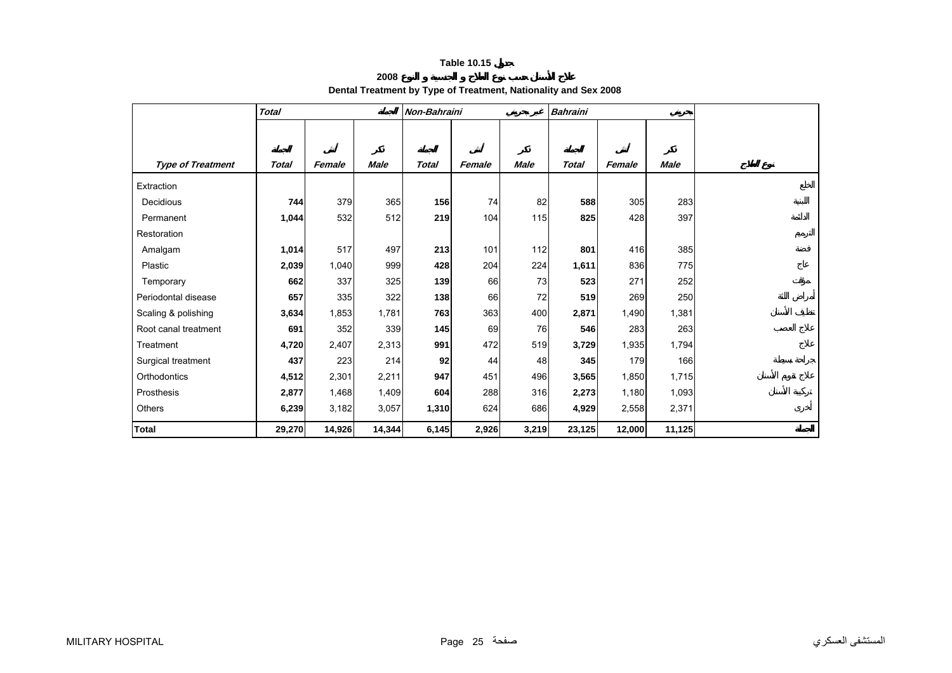# **2008**

|  |  | Dental Treatment by Type of Treatment, Nationality and Sex 2008 |
|--|--|-----------------------------------------------------------------|
|--|--|-----------------------------------------------------------------|

<span id="page-24-0"></span>

|                          | <b>Total</b> |        |             | Non-Bahraini |        |             | <b>Bahraini</b> |        |             |  |
|--------------------------|--------------|--------|-------------|--------------|--------|-------------|-----------------|--------|-------------|--|
|                          |              |        |             |              |        |             |                 |        |             |  |
|                          |              |        |             |              |        |             |                 |        |             |  |
| <b>Type of Treatment</b> | Total        | Female | <b>Male</b> | <b>Total</b> | Female | <b>Male</b> | <b>Total</b>    | Female | <b>Male</b> |  |
| Extraction               |              |        |             |              |        |             |                 |        |             |  |
| Decidious                | 744          | 379    | 365         | 156          | 74     | 82          | 588             | 305    | 283         |  |
| Permanent                | 1,044        | 532    | 512         | 219          | 104    | 115         | 825             | 428    | 397         |  |
| Restoration              |              |        |             |              |        |             |                 |        |             |  |
| Amalgam                  | 1,014        | 517    | 497         | 213          | 101    | $112$       | 801             | 416    | 385         |  |
| Plastic                  | 2,039        | 1,040  | 999         | 428          | 204    | 224         | 1,611           | 836    | 775         |  |
| Temporary                | 662          | 337    | 325         | 139          | 66     | 73          | 523             | 271    | 252         |  |
| Periodontal disease      | 657          | 335    | 322         | 138          | 66     | 72          | 519             | 269    | 250         |  |
| Scaling & polishing      | 3,634        | 1,853  | 1,781       | 763          | 363    | 400         | 2,871           | 1,490  | 1,381       |  |
| Root canal treatment     | 691          | 352    | 339         | 145          | 69     | 76          | 546             | 283    | 263         |  |
| Treatment                | 4,720        | 2,407  | 2,313       | 991          | 472    | 519         | 3,729           | 1,935  | 1,794       |  |
| Surgical treatment       | 437          | 223    | 214         | 92           | 44     | 48          | 345             | 179    | 166         |  |
| Orthodontics             | 4,512        | 2,301  | 2,211       | 947          | 451    | 496         | 3,565           | 1,850  | 1,715       |  |
| Prosthesis               | 2,877        | 1,468  | 1,409       | 604          | 288    | 316         | 2,273           | 1,180  | 1,093       |  |
| <b>Others</b>            | 6,239        | 3,182  | 3,057       | 1,310        | 624    | 686         | 4,929           | 2,558  | 2,371       |  |
| <b>Total</b>             | 29,270       | 14,926 | 14,344      | 6,145        | 2,926  | 3,219       | 23,125          | 12,000 | 11,125      |  |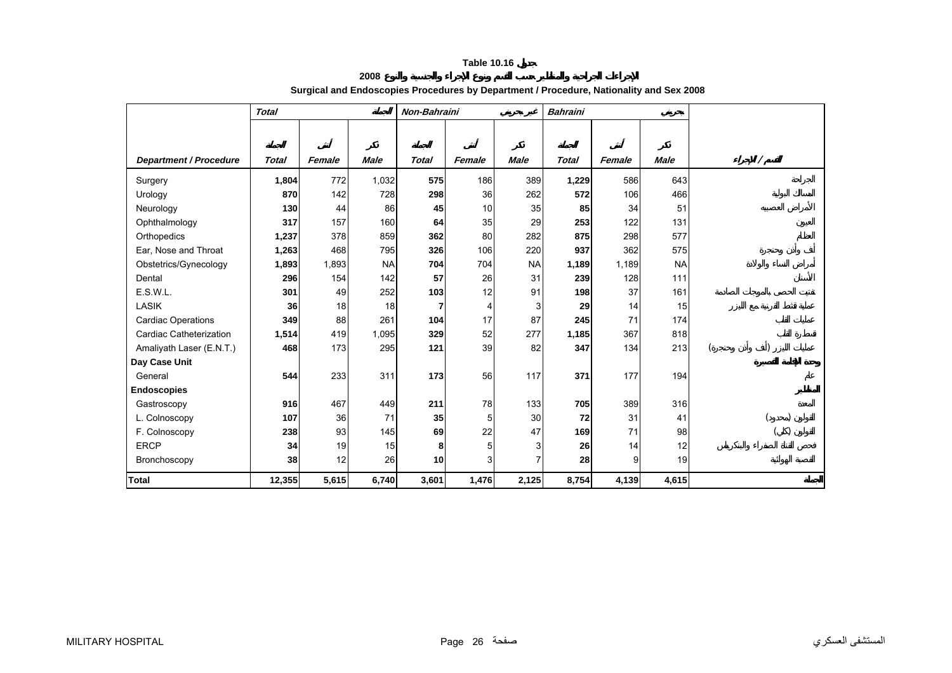**2008**

<span id="page-25-0"></span>

|                               | <b>Total</b> |        |             | Non-Bahraini |        |             | <b>Bahraini</b> |        |             |  |
|-------------------------------|--------------|--------|-------------|--------------|--------|-------------|-----------------|--------|-------------|--|
|                               |              |        |             |              |        |             |                 |        |             |  |
|                               |              |        |             |              |        |             |                 |        |             |  |
| <b>Department / Procedure</b> | <b>Total</b> | Female | <b>Male</b> | <b>Total</b> | Female | <b>Male</b> | <b>Total</b>    | Female | <b>Male</b> |  |
| Surgery                       | 1,804        | 772    | 1,032       | 575          | 186    | 389         | 1,229           | 586    | 643         |  |
| Urology                       | 870          | 142    | 728         | 298          | 36     | 262         | 572             | 106    | 466         |  |
| Neurology                     | 130          | 44     | 86          | 45           | 10     | 35          | 85              | 34     | 51          |  |
| Ophthalmology                 | 317          | 157    | 160         | 64           | 35     | 29          | 253             | 122    | 131         |  |
| Orthopedics                   | 1,237        | 378    | 859         | 362          | 80     | 282         | 875             | 298    | 577         |  |
| Ear, Nose and Throat          | 1,263        | 468    | 795         | 326          | 106    | 220         | 937             | 362    | 575         |  |
| Obstetrics/Gynecology         | 1,893        | 1,893  | <b>NA</b>   | 704          | 704    | <b>NA</b>   | 1,189           | 1,189  | <b>NA</b>   |  |
| Dental                        | 296          | 154    | 142         | 57           | 26     | 31          | 239             | 128    | 111         |  |
| E.S.W.L.                      | 301          | 49     | 252         | 103          | 12     | 91          | 198             | 37     | 161         |  |
| LASIK                         | 36           | 18     | 18          | 7            | 4      | 3           | 29              | 14     | 15          |  |
| <b>Cardiac Operations</b>     | 349          | 88     | 261         | 104          | 17     | 87          | 245             | 71     | 174         |  |
| Cardiac Catheterization       | 1,514        | 419    | 1,095       | 329          | 52     | 277         | 1,185           | 367    | 818         |  |
| Amaliyath Laser (E.N.T.)      | 468          | 173    | 295         | 121          | 39     | 82          | 347             | 134    | 213         |  |
| Day Case Unit                 |              |        |             |              |        |             |                 |        |             |  |
| General                       | 544          | 233    | 311         | 173          | 56     | 117         | 371             | 177    | 194         |  |
| <b>Endoscopies</b>            |              |        |             |              |        |             |                 |        |             |  |
| Gastroscopy                   | 916          | 467    | 449         | 211          | 78     | 133         | 705             | 389    | 316         |  |
| L. Colnoscopy                 | 107          | 36     | 71          | 35           | 5      | 30          | 72              | 31     | 41          |  |
| F. Colnoscopy                 | 238          | 93     | 145         | 69           | 22     | 47          | 169             | 71     | 98          |  |
| <b>ERCP</b>                   | 34           | 19     | 15          | 8            | 5      | 3           | 26              | 14     | 12          |  |
| Bronchoscopy                  | 38           | 12     | 26          | 10           | 3      | 7           | 28              | 9      | 19          |  |
| <b>Total</b>                  | 12,355       | 5,615  | 6,740       | 3,601        | 1,476  | 2,125       | 8,754           | 4,139  | 4,615       |  |

# **Surgical and Endoscopies Procedures by Department / Procedure, Nationality and Sex 2008**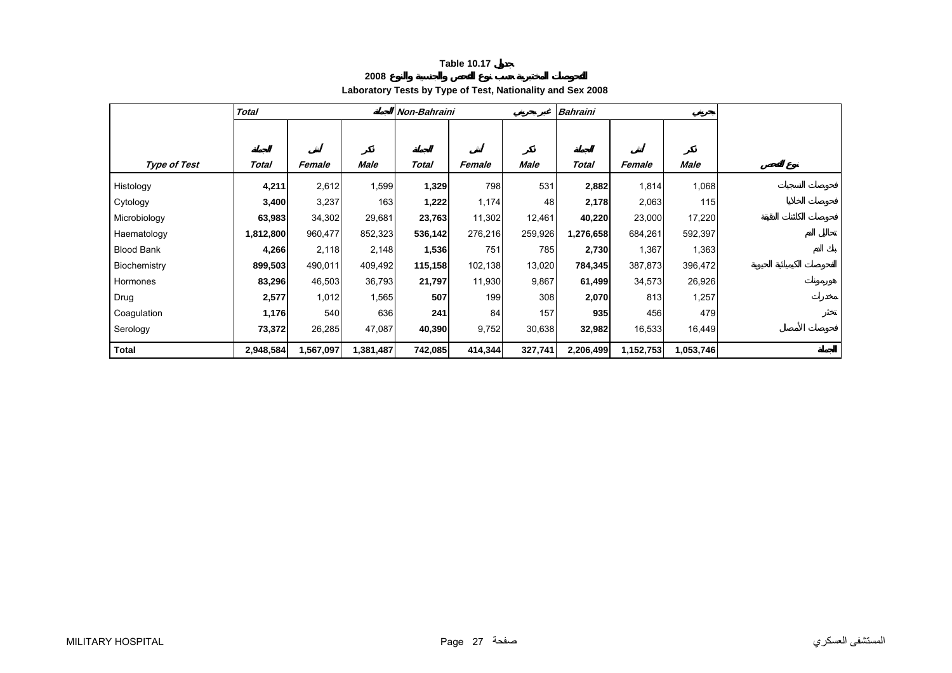**2008**

# **Laboratory Tests by Type of Test, Nationality and Sex 2008**

<span id="page-26-0"></span>

|                     | <b>Total</b> |           |           | Non-Bahraini |         |         | <b>Bahraini</b> |           |           |  |
|---------------------|--------------|-----------|-----------|--------------|---------|---------|-----------------|-----------|-----------|--|
|                     |              |           |           |              |         |         |                 |           |           |  |
|                     |              |           |           |              |         |         |                 |           |           |  |
| <b>Type of Test</b> | Total        | Female    | Male      | <b>Total</b> | Female  | Male    | Total           | Female    | Male      |  |
| Histology           | 4,211        | 2,612     | 1,599     | 1,329        | 798     | 531     | 2,882           | 1,814     | 1,068     |  |
| Cytology            | 3,400        | 3,237     | 163       | 1,222        | 1,174   | 48      | 2,178           | 2,063     | 115       |  |
| Microbiology        | 63,983       | 34,302    | 29,681    | 23,763       | 11,302  | 12,461  | 40,220          | 23,000    | 17,220    |  |
| Haematology         | 1,812,800    | 960,477   | 852,323   | 536,142      | 276,216 | 259,926 | 1,276,658       | 684,261   | 592,397   |  |
| <b>Blood Bank</b>   | 4,266        | 2,118     | 2,148     | 1,536        | 751     | 785     | 2,730           | 1,367     | 1,363     |  |
| Biochemistry        | 899,503      | 490,011   | 409,492   | 115,158      | 102,138 | 13,020  | 784,345         | 387,873   | 396,472   |  |
| Hormones            | 83,296       | 46,503    | 36,793    | 21,797       | 11,930  | 9,867   | 61,499          | 34,573    | 26,926    |  |
| Drug                | 2,577        | 1,012     | 1,565     | 507          | 199     | 308     | 2,070           | 813       | 1,257     |  |
| Coagulation         | 1,176        | 540       | 636       | 241          | 84      | 157     | 935             | 456       | 479       |  |
| Serology            | 73,372       | 26,285    | 47,087    | 40,390       | 9,752   | 30,638  | 32,982          | 16,533    | 16,449    |  |
| <b>Total</b>        | 2,948,584    | 1,567,097 | 1,381,487 | 742,085      | 414,344 | 327,741 | 2,206,499       | 1,152,753 | 1,053,746 |  |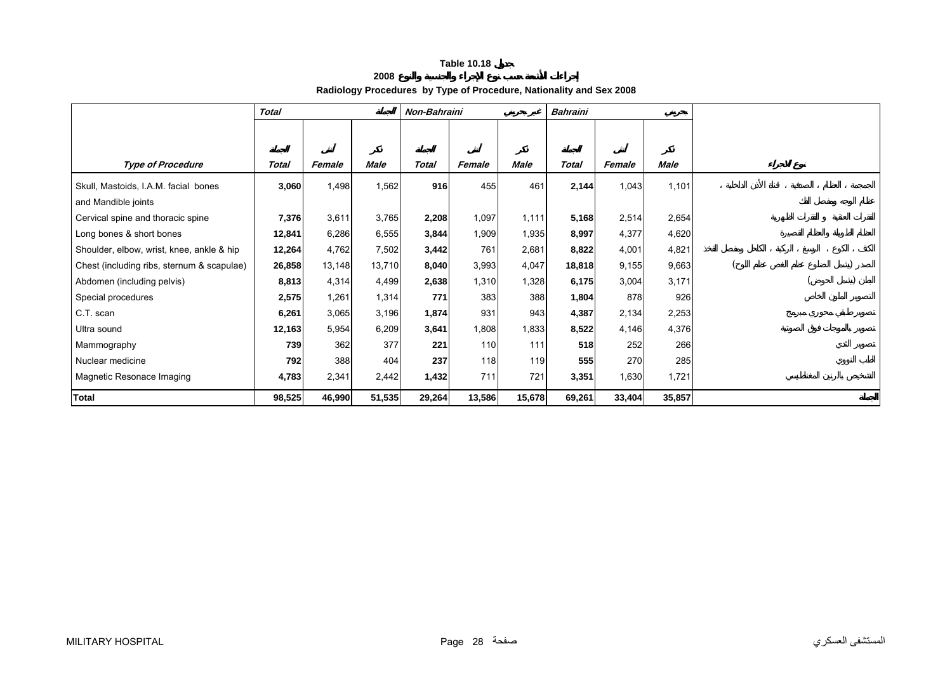### **2008**

# **Radiology Procedures by Type of Procedure, Nationality and Sex 2008**

<span id="page-27-0"></span>

|                                            | <b>Total</b> |        |             | Non-Bahraini |        | <b>Bahraini</b> |              |        |             |  |  |  |
|--------------------------------------------|--------------|--------|-------------|--------------|--------|-----------------|--------------|--------|-------------|--|--|--|
|                                            |              |        |             |              |        |                 |              |        |             |  |  |  |
|                                            |              |        |             |              |        |                 |              |        |             |  |  |  |
| <b>Type of Procedure</b>                   | <b>Total</b> | Female | <b>Male</b> | <b>Total</b> | Female | <b>Male</b>     | <b>Total</b> | Female | <b>Male</b> |  |  |  |
| Skull, Mastoids, I.A.M. facial bones       | 3,060        | 1,498  | 1,562       | 916          | 455    | 461             | 2,144        | 1,043  | 1,101       |  |  |  |
| and Mandible joints                        |              |        |             |              |        |                 |              |        |             |  |  |  |
| Cervical spine and thoracic spine          | 7,376        | 3,611  | 3,765       | 2,208        | 1,097  | 1,111           | 5,168        | 2,514  | 2,654       |  |  |  |
| Long bones & short bones                   | 12,841       | 6,286  | 6,555       | 3,844        | 1,909  | 1,935           | 8,997        | 4,377  | 4,620       |  |  |  |
| Shoulder, elbow, wrist, knee, ankle & hip  | 12,264       | 4,762  | 7,502       | 3,442        | 761    | 2,681           | 8,822        | 4,001  | 4,821       |  |  |  |
| Chest (including ribs, sternum & scapulae) | 26,858       | 13,148 | 13,710      | 8,040        | 3,993  | 4,047           | 18,818       | 9,155  | 9,663       |  |  |  |
| Abdomen (including pelvis)                 | 8,813        | 4,314  | 4,499       | 2,638        | 1,310  | 1,328           | 6,175        | 3,004  | 3,171       |  |  |  |
| Special procedures                         | 2,575        | 1,261  | 1,314       | 771          | 383    | 388             | 1,804        | 878    | 926         |  |  |  |
| C.T. scan                                  | 6,261        | 3,065  | 3,196       | 1,874        | 931    | 943             | 4,387        | 2,134  | 2,253       |  |  |  |
| Ultra sound                                | 12,163       | 5,954  | 6,209       | 3,641        | 1,808  | 1,833           | 8,522        | 4,146  | 4,376       |  |  |  |
| Mammography                                | 739          | 362    | 377         | 221          | 110    | 111             | 518          | 252    | 266         |  |  |  |
| Nuclear medicine                           | 792          | 388    | 404         | 237          | 118    | 119             | 555          | 270    | 285         |  |  |  |
| Magnetic Resonace Imaging                  | 4,783        | 2,341  | 2,442       | 1,432        | 711    | 721             | 3,351        | 1,630  | 1,721       |  |  |  |
| <b>Total</b>                               | 98,525       | 46,990 | 51,535      | 29,264       | 13,586 | 15,678          | 69,261       | 33,404 | 35,857      |  |  |  |